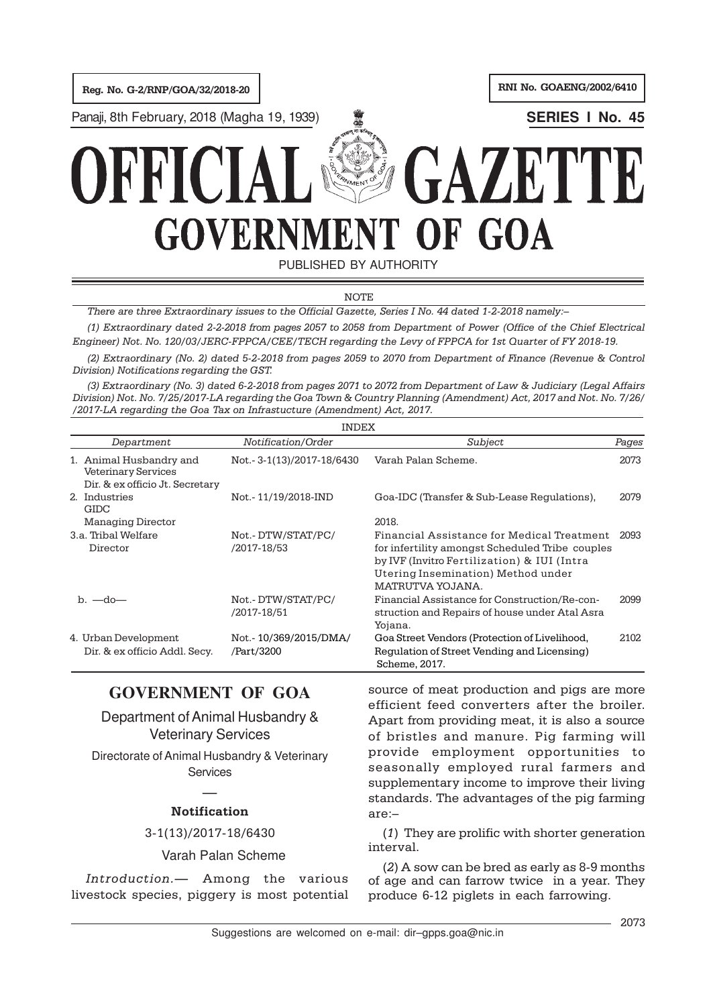Reg. No. G-2/RNP/GOA/32/2018-20 RNI No. GOAENG/2002/6410

Panaji, 8th February, 2018 (Magha 19, 1939) **SERIES I No. 45**





PUBLISHED BY AUTHORITY

**NOTE** 

There are three Extraordinary issues to the Official Gazette, Series I No. 44 dated 1-2-2018 namely:–

(1) Extraordinary dated 2-2-2018 from pages 2057 to 2058 from Department of Power (Office of the Chief Electrical Engineer) Not. No. 120/03/JERC-FPPCA/CEE/TECH regarding the Levy of FPPCA for 1st Quarter of FY 2018-19.

(2) Extraordinary (No. 2) dated 5-2-2018 from pages 2059 to 2070 from Department of Finance (Revenue & Control Division) Notifications regarding the GST.

(3) Extraordinary (No. 3) dated 6-2-2018 from pages 2071 to 2072 from Department of Law & Judiciary (Legal Affairs Division) Not. No. 7/25/2017-LA regarding the Goa Town & Country Planning (Amendment) Act, 2017 and Not. No. 7/26/ /2017-LA regarding the Goa Tax on Infrastucture (Amendment) Act, 2017.

|                                                                                          | <b>INDEX</b>                        |                                                                                                                                                                                                        |       |  |  |
|------------------------------------------------------------------------------------------|-------------------------------------|--------------------------------------------------------------------------------------------------------------------------------------------------------------------------------------------------------|-------|--|--|
| Department                                                                               | Notification/Order                  | Subject                                                                                                                                                                                                | Pages |  |  |
| 1. Animal Husbandry and<br><b>Veterinary Services</b><br>Dir. & ex officio Jt. Secretary | Not. - 3-1(13)/2017-18/6430         | Varah Palan Scheme.                                                                                                                                                                                    | 2073  |  |  |
| 2. Industries<br><b>GIDC</b>                                                             | Not. - 11/19/2018-IND               | Goa-IDC (Transfer & Sub-Lease Regulations),                                                                                                                                                            | 2079  |  |  |
| <b>Managing Director</b>                                                                 |                                     | 2018.                                                                                                                                                                                                  |       |  |  |
| 3.a. Tribal Welfare<br>Director                                                          | Not.-DTW/STAT/PC/<br>/2017-18/53    | Financial Assistance for Medical Treatment<br>for infertility amongst Scheduled Tribe couples<br>by IVF (Invitro Fertilization) & IUI (Intra<br>Utering Insemination) Method under<br>MATRUTVA YOJANA. | 2093  |  |  |
| $b. -do -$                                                                               | Not.-DTW/STAT/PC/<br>/2017-18/51    | Financial Assistance for Construction/Re-con-<br>struction and Repairs of house under Atal Asra<br>Yojana.                                                                                             | 2099  |  |  |
| 4. Urban Development<br>Dir. & ex officio Addl. Secy.                                    | Not.-10/369/2015/DMA/<br>/Part/3200 | Goa Street Vendors (Protection of Livelihood,<br>Regulation of Street Vending and Licensing)<br>Scheme, 2017.                                                                                          | 2102  |  |  |

# **GOVERNMENT OF GOA**

Department of Animal Husbandry & Veterinary Services

Directorate of Animal Husbandry & Veterinary **Services** 

# — Notification

3-1(13)/2017-18/6430

Varah Palan Scheme

Introduction.— Among the various livestock species, piggery is most potential

source of meat production and pigs are more efficient feed converters after the broiler. Apart from providing meat, it is also a source of bristles and manure. Pig farming will provide employment opportunities to seasonally employed rural farmers and supplementary income to improve their living standards. The advantages of the pig farming are:–

(1) They are prolific with shorter generation interval.

(2) A sow can be bred as early as 8-9 months of age and can farrow twice in a year. They produce 6-12 piglets in each farrowing.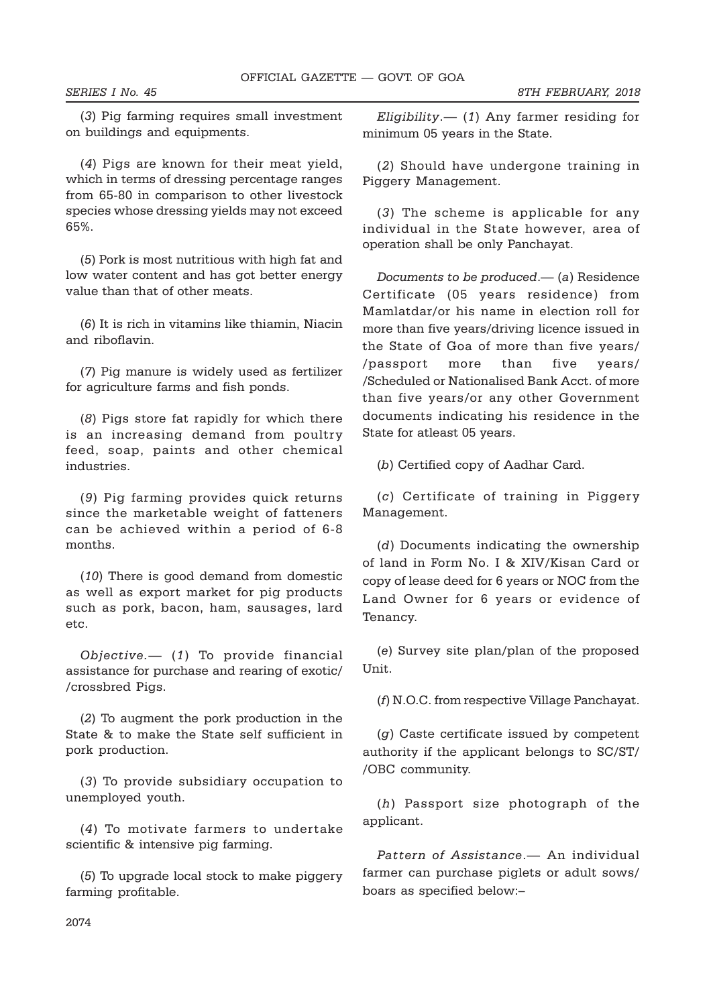SERIES I No. 45 8TH FEBRUARY, 2018

(3) Pig farming requires small investment on buildings and equipments.

(4) Pigs are known for their meat yield, which in terms of dressing percentage ranges from 65-80 in comparison to other livestock species whose dressing yields may not exceed 65%.

(5) Pork is most nutritious with high fat and low water content and has got better energy value than that of other meats.

(6) It is rich in vitamins like thiamin, Niacin and riboflavin.

(7) Pig manure is widely used as fertilizer for agriculture farms and fish ponds.

(8) Pigs store fat rapidly for which there is an increasing demand from poultry feed, soap, paints and other chemical industries.

(9) Pig farming provides quick returns since the marketable weight of fatteners can be achieved within a period of 6-8 months.

(10) There is good demand from domestic as well as export market for pig products such as pork, bacon, ham, sausages, lard etc.

Objective.— (1) To provide financial assistance for purchase and rearing of exotic/ /crossbred Pigs.

(2) To augment the pork production in the State & to make the State self sufficient in pork production.

(3) To provide subsidiary occupation to unemployed youth.

(4) To motivate farmers to undertake scientific & intensive pig farming.

(5) To upgrade local stock to make piggery farming profitable.

 $Eligibility$   $-$  (1) Any farmer residing for minimum 05 years in the State.

(2) Should have undergone training in Piggery Management.

(3) The scheme is applicable for any individual in the State however, area of operation shall be only Panchayat.

Documents to be produced.— (a) Residence Certificate (05 years residence) from Mamlatdar/or his name in election roll for more than five years/driving licence issued in the State of Goa of more than five years/ /passport more than five years/ /Scheduled or Nationalised Bank Acct. of more than five years/or any other Government documents indicating his residence in the State for atleast 05 years.

(b) Certified copy of Aadhar Card.

(c) Certificate of training in Piggery Management.

(d) Documents indicating the ownership of land in Form No. I & XIV/Kisan Card or copy of lease deed for 6 years or NOC from the Land Owner for 6 years or evidence of Tenancy.

(e) Survey site plan/plan of the proposed Unit.

(f) N.O.C. from respective Village Panchayat.

(g) Caste certificate issued by competent authority if the applicant belongs to SC/ST/ /OBC community.

(h) Passport size photograph of the applicant.

Pattern of Assistance. - An individual farmer can purchase piglets or adult sows/ boars as specified below:–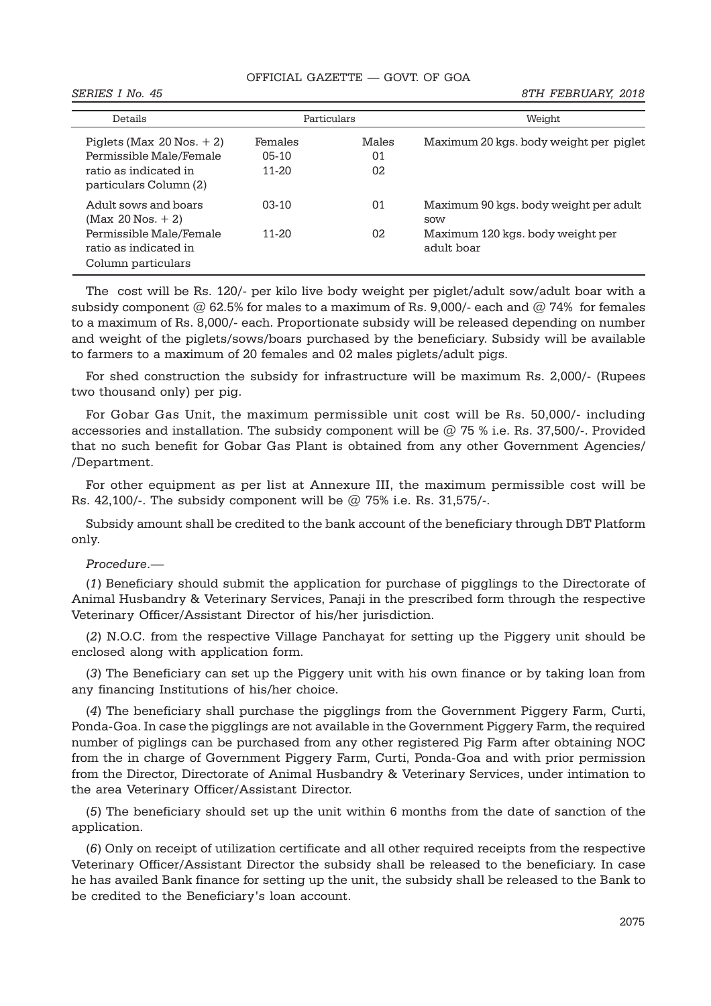## OFFICIAL GAZETTE — GOVT. OF GOA

| Details                                                                                                     |                                 | Particulars       | Weight                                                                                  |
|-------------------------------------------------------------------------------------------------------------|---------------------------------|-------------------|-----------------------------------------------------------------------------------------|
| Piglets (Max $20$ Nos. $+2$ )<br>Permissible Male/Female<br>ratio as indicated in<br>particulars Column (2) | Females<br>$05-10$<br>$11 - 20$ | Males<br>01<br>02 | Maximum 20 kgs. body weight per piglet                                                  |
| Adult sows and boars<br>$(Max 20 Nos. + 2)$<br>Permissible Male/Female                                      | $03-10$<br>$11 - 20$            | 01<br>02          | Maximum 90 kgs. body weight per adult<br><b>SOW</b><br>Maximum 120 kgs. body weight per |
| ratio as indicated in<br>Column particulars                                                                 |                                 |                   | adult boar                                                                              |

The cost will be Rs. 120/- per kilo live body weight per piglet/adult sow/adult boar with a subsidy component  $@$  62.5% for males to a maximum of Rs. 9,000/- each and  $@$  74% for females to a maximum of Rs. 8,000/- each. Proportionate subsidy will be released depending on number and weight of the piglets/sows/boars purchased by the beneficiary. Subsidy will be available to farmers to a maximum of 20 females and 02 males piglets/adult pigs.

For shed construction the subsidy for infrastructure will be maximum Rs. 2,000/- (Rupees two thousand only) per pig.

For Gobar Gas Unit, the maximum permissible unit cost will be Rs. 50,000/- including accessories and installation. The subsidy component will be  $@$  75 % i.e. Rs. 37,500/-. Provided that no such benefit for Gobar Gas Plant is obtained from any other Government Agencies/ /Department.

For other equipment as per list at Annexure III, the maximum permissible cost will be Rs. 42,100/-. The subsidy component will be @ 75% i.e. Rs. 31,575/-.

Subsidy amount shall be credited to the bank account of the beneficiary through DBT Platform only.

### Procedure.—

(1) Beneficiary should submit the application for purchase of pigglings to the Directorate of Animal Husbandry & Veterinary Services, Panaji in the prescribed form through the respective Veterinary Officer/Assistant Director of his/her jurisdiction.

(2) N.O.C. from the respective Village Panchayat for setting up the Piggery unit should be enclosed along with application form.

(3) The Beneficiary can set up the Piggery unit with his own finance or by taking loan from any financing Institutions of his/her choice.

(4) The beneficiary shall purchase the pigglings from the Government Piggery Farm, Curti, Ponda-Goa. In case the pigglings are not available in the Government Piggery Farm, the required number of piglings can be purchased from any other registered Pig Farm after obtaining NOC from the in charge of Government Piggery Farm, Curti, Ponda-Goa and with prior permission from the Director, Directorate of Animal Husbandry & Veterinary Services, under intimation to the area Veterinary Officer/Assistant Director.

(5) The beneficiary should set up the unit within 6 months from the date of sanction of the application.

(6) Only on receipt of utilization certificate and all other required receipts from the respective Veterinary Officer/Assistant Director the subsidy shall be released to the beneficiary. In case he has availed Bank finance for setting up the unit, the subsidy shall be released to the Bank to be credited to the Beneficiary's loan account.

SERIES I No. 45 8TH FEBRUARY, 2018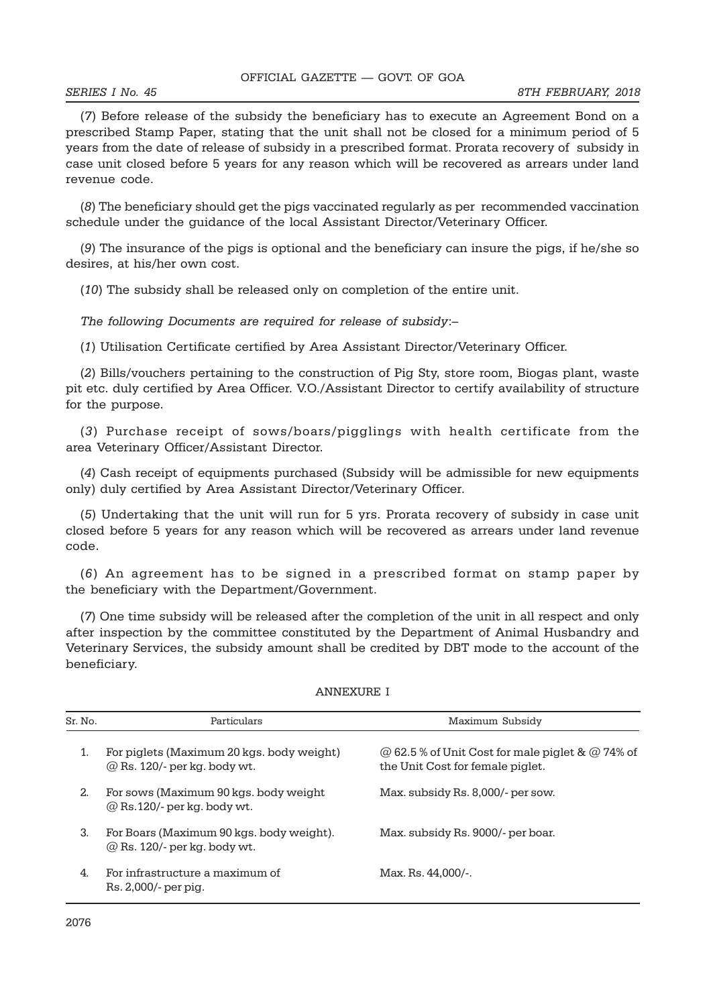(7) Before release of the subsidy the beneficiary has to execute an Agreement Bond on a prescribed Stamp Paper, stating that the unit shall not be closed for a minimum period of 5 years from the date of release of subsidy in a prescribed format. Prorata recovery of subsidy in case unit closed before 5 years for any reason which will be recovered as arrears under land revenue code.

(8) The beneficiary should get the pigs vaccinated regularly as per recommended vaccination schedule under the guidance of the local Assistant Director/Veterinary Officer.

(9) The insurance of the pigs is optional and the beneficiary can insure the pigs, if he/she so desires, at his/her own cost.

(10) The subsidy shall be released only on completion of the entire unit.

The following Documents are required for release of subsidy:–

(1) Utilisation Certificate certified by Area Assistant Director/Veterinary Officer.

(2) Bills/vouchers pertaining to the construction of Pig Sty, store room, Biogas plant, waste pit etc. duly certified by Area Officer. V.O./Assistant Director to certify availability of structure for the purpose.

(3) Purchase receipt of sows/boars/pigglings with health certificate from the area Veterinary Officer/Assistant Director.

(4) Cash receipt of equipments purchased (Subsidy will be admissible for new equipments only) duly certified by Area Assistant Director/Veterinary Officer.

(5) Undertaking that the unit will run for 5 yrs. Prorata recovery of subsidy in case unit closed before 5 years for any reason which will be recovered as arrears under land revenue code.

(6) An agreement has to be signed in a prescribed format on stamp paper by the beneficiary with the Department/Government.

(7) One time subsidy will be released after the completion of the unit in all respect and only after inspection by the committee constituted by the Department of Animal Husbandry and Veterinary Services, the subsidy amount shall be credited by DBT mode to the account of the beneficiary.

| Sr. No. | Particulars                                                                     | Maximum Subsidy                                                                                    |
|---------|---------------------------------------------------------------------------------|----------------------------------------------------------------------------------------------------|
| 1.      | For piglets (Maximum 20 kgs. body weight)<br>$@$ Rs. 120/- per kg. body wt.     | $\omega$ 62.5 % of Unit Cost for male piglet & $\omega$ 74% of<br>the Unit Cost for female piglet. |
| 2.      | For sows (Maximum 90 kgs. body weight)<br>$\omega$ Rs.120/- per kg. body wt.    | Max. subsidy Rs. 8,000/- per sow.                                                                  |
| 3.      | For Boars (Maximum 90 kgs. body weight).<br>$\omega$ Rs. 120/- per kg. body wt. | Max. subsidy Rs. 9000/- per boar.                                                                  |
| 4.      | For infrastructure a maximum of<br>Rs. 2,000/- per pig.                         | Max. Rs. 44.000/-.                                                                                 |

### ANNEXURE I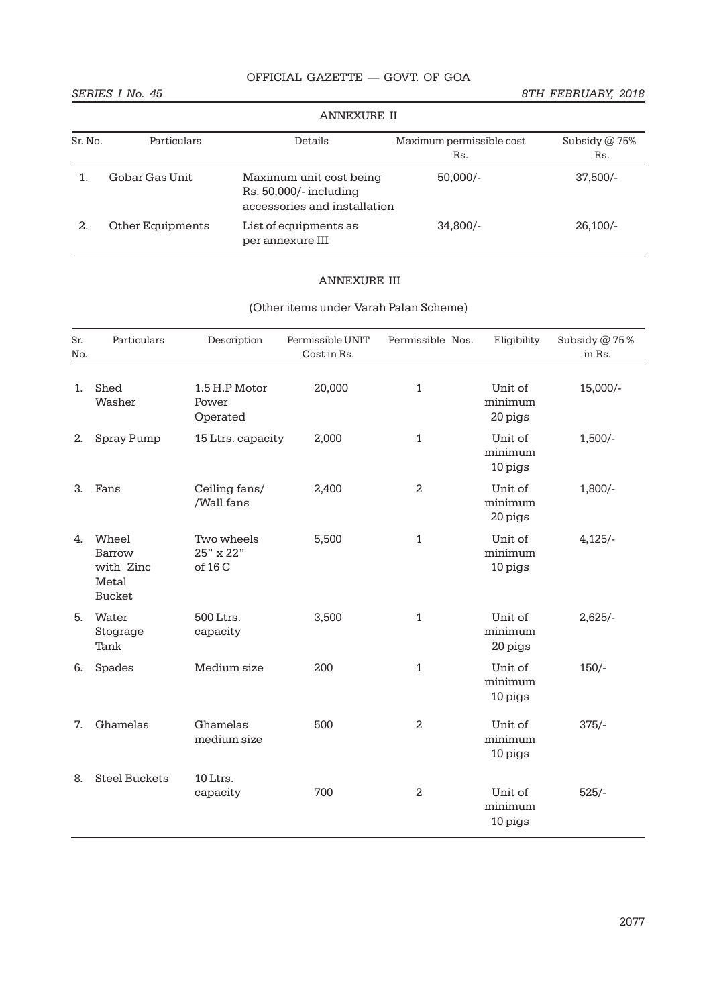# OFFICIAL GAZETTE — GOVT. OF GOA

SERIES I No. 45 8TH FEBRUARY, 2018

|         | <b>ANNEXURE II</b> |                                                                                   |                                 |                        |  |
|---------|--------------------|-----------------------------------------------------------------------------------|---------------------------------|------------------------|--|
| Sr. No. | Particulars        | Details                                                                           | Maximum permissible cost<br>Rs. | Subsidy $@$ 75%<br>Rs. |  |
|         | Gobar Gas Unit     | Maximum unit cost being<br>Rs. 50,000/- including<br>accessories and installation | $50,000/-$                      | $37,500/-$             |  |
| 2.      | Other Equipments   | List of equipments as<br>per annexure III                                         | $34,800/-$                      | $26,100/-$             |  |

# ANNEXURE III

| Sr.<br>No. | Particulars                                            | Description                        | Permissible UNIT<br>Cost in Rs. | Permissible Nos. | Eligibility                   | Subsidy @ 75%<br>in Rs. |
|------------|--------------------------------------------------------|------------------------------------|---------------------------------|------------------|-------------------------------|-------------------------|
| 1.         | Shed<br>Washer                                         | 1.5 H.P Motor<br>Power<br>Operated | 20,000                          | 1                | Unit of<br>minimum<br>20 pigs | 15,000/-                |
| 2.         | Spray Pump                                             | 15 Ltrs. capacity                  | 2,000                           | 1                | Unit of<br>minimum<br>10 pigs | $1,500/-$               |
| 3.         | Fans                                                   | Ceiling fans/<br>/Wall fans        | 2,400                           | $\overline{2}$   | Unit of<br>minimum<br>20 pigs | $1,800/-$               |
| 4.         | Wheel<br>Barrow<br>with Zinc<br>Metal<br><b>Bucket</b> | Two wheels<br>25" x 22"<br>of 16 C | 5,500                           | 1                | Unit of<br>minimum<br>10 pigs | 4,125/                  |
| 5.         | Water<br>Stograge<br>Tank                              | 500 Ltrs.<br>capacity              | 3,500                           | 1                | Unit of<br>minimum<br>20 pigs | $2,625/-$               |
| 6.         | Spades                                                 | Medium size                        | 200                             | 1                | Unit of<br>minimum<br>10 pigs | $150/-$                 |
| 7.         | Ghamelas                                               | Ghamelas<br>medium size            | 500                             | $\overline{a}$   | Unit of<br>minimum<br>10 pigs | $375/-$                 |
| 8.         | <b>Steel Buckets</b>                                   | 10 Ltrs.<br>capacity               | 700                             | $\overline{a}$   | Unit of<br>minimum<br>10 pigs | $525/-$                 |

# (Other items under Varah Palan Scheme)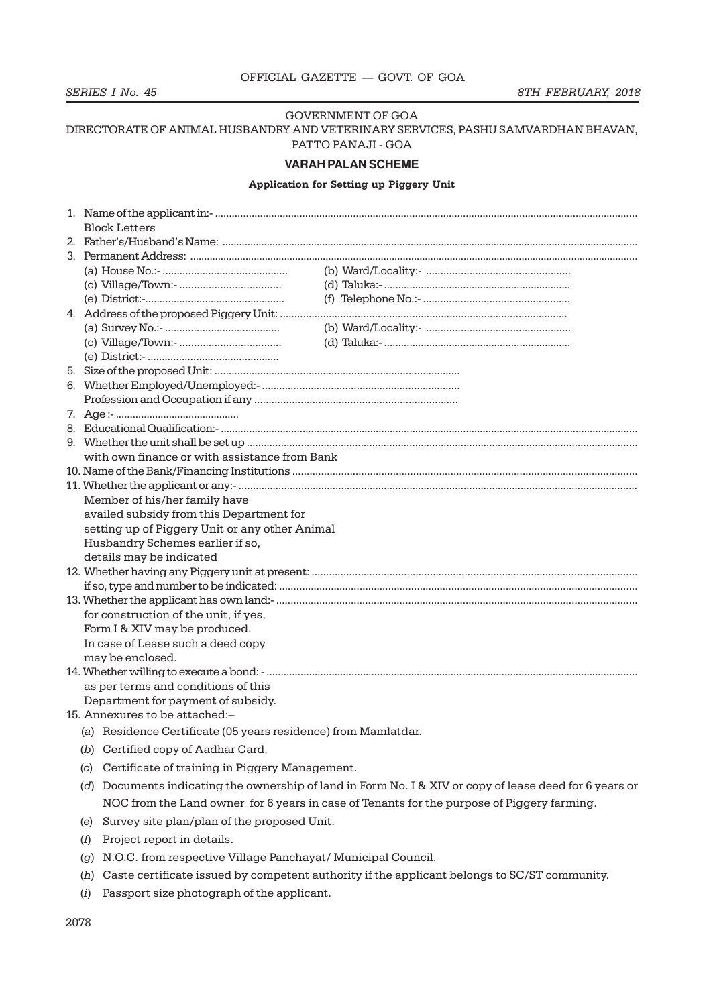# GOVERNMENT OF GOA

# DIRECTORATE OF ANIMAL HUSBANDRY AND VETERINARY SERVICES, PASHU SAMVARDHAN BHAVAN, PATTO PANAJI - GOA

#### **VARAH PALAN SCHEME**

# Application for Setting up Piggery Unit

|                                       | <b>Block Letters</b>                                           |  |                                                                                                     |  |  |
|---------------------------------------|----------------------------------------------------------------|--|-----------------------------------------------------------------------------------------------------|--|--|
|                                       |                                                                |  |                                                                                                     |  |  |
|                                       |                                                                |  |                                                                                                     |  |  |
|                                       |                                                                |  |                                                                                                     |  |  |
|                                       |                                                                |  |                                                                                                     |  |  |
|                                       |                                                                |  |                                                                                                     |  |  |
|                                       |                                                                |  |                                                                                                     |  |  |
|                                       |                                                                |  |                                                                                                     |  |  |
|                                       |                                                                |  |                                                                                                     |  |  |
|                                       |                                                                |  |                                                                                                     |  |  |
|                                       |                                                                |  |                                                                                                     |  |  |
|                                       |                                                                |  |                                                                                                     |  |  |
|                                       |                                                                |  |                                                                                                     |  |  |
|                                       |                                                                |  |                                                                                                     |  |  |
|                                       |                                                                |  |                                                                                                     |  |  |
|                                       |                                                                |  |                                                                                                     |  |  |
|                                       | with own finance or with assistance from Bank                  |  |                                                                                                     |  |  |
|                                       |                                                                |  |                                                                                                     |  |  |
|                                       |                                                                |  |                                                                                                     |  |  |
|                                       | Member of his/her family have                                  |  |                                                                                                     |  |  |
|                                       | availed subsidy from this Department for                       |  |                                                                                                     |  |  |
|                                       | setting up of Piggery Unit or any other Animal                 |  |                                                                                                     |  |  |
|                                       | Husbandry Schemes earlier if so,                               |  |                                                                                                     |  |  |
|                                       | details may be indicated                                       |  |                                                                                                     |  |  |
|                                       |                                                                |  |                                                                                                     |  |  |
|                                       |                                                                |  |                                                                                                     |  |  |
|                                       |                                                                |  |                                                                                                     |  |  |
| for construction of the unit, if yes, |                                                                |  |                                                                                                     |  |  |
| Form I & XIV may be produced.         |                                                                |  |                                                                                                     |  |  |
|                                       | In case of Lease such a deed copy                              |  |                                                                                                     |  |  |
|                                       | may be enclosed.                                               |  |                                                                                                     |  |  |
|                                       |                                                                |  |                                                                                                     |  |  |
|                                       | as per terms and conditions of this                            |  |                                                                                                     |  |  |
|                                       | Department for payment of subsidy.                             |  |                                                                                                     |  |  |
|                                       | 15. Annexures to be attached:-                                 |  |                                                                                                     |  |  |
|                                       | (a) Residence Certificate (05 years residence) from Mamlatdar. |  |                                                                                                     |  |  |
|                                       | (b) Certified copy of Aadhar Card.                             |  |                                                                                                     |  |  |
| (C)                                   | Certificate of training in Piggery Management.                 |  |                                                                                                     |  |  |
| (d)                                   |                                                                |  | Documents indicating the ownership of land in Form No. I & XIV or copy of lease deed for 6 years or |  |  |
|                                       |                                                                |  | NOC from the Land owner for 6 years in case of Tenants for the purpose of Piggery farming.          |  |  |
| (e)                                   | Survey site plan/plan of the proposed Unit.                    |  |                                                                                                     |  |  |
| (f)                                   | Project report in details.                                     |  |                                                                                                     |  |  |
|                                       | N.O.C. from respective Village Panchayat/ Municipal Council.   |  |                                                                                                     |  |  |
| (g)                                   |                                                                |  |                                                                                                     |  |  |
| (h)                                   |                                                                |  | Caste certificate issued by competent authority if the applicant belongs to SC/ST community.        |  |  |

(i) Passport size photograph of the applicant.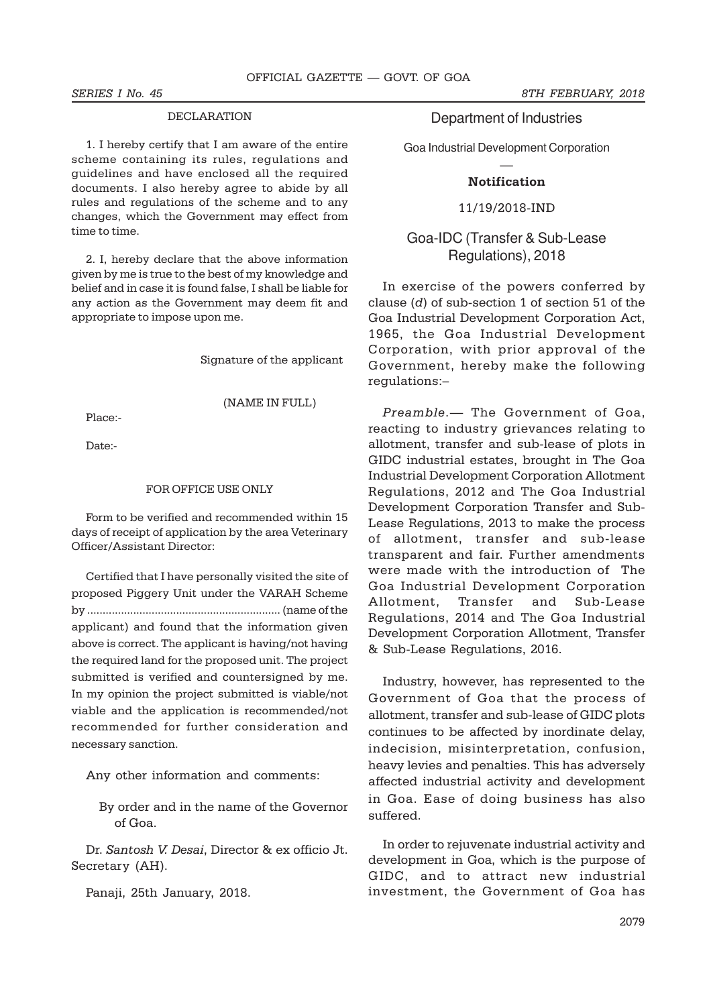## DECLARATION

1. I hereby certify that I am aware of the entire scheme containing its rules, regulations and guidelines and have enclosed all the required documents. I also hereby agree to abide by all rules and regulations of the scheme and to any changes, which the Government may effect from time to time.

2. I, hereby declare that the above information given by me is true to the best of my knowledge and belief and in case it is found false, I shall be liable for any action as the Government may deem fit and appropriate to impose upon me.

Signature of the applicant

(NAME IN FULL)

Place:-

Date:-

### FOR OFFICE USE ONLY

Form to be verified and recommended within 15 days of receipt of application by the area Veterinary Officer/Assistant Director:

Certified that I have personally visited the site of proposed Piggery Unit under the VARAH Scheme by ............................................................... (name of the applicant) and found that the information given above is correct. The applicant is having/not having the required land for the proposed unit. The project submitted is verified and countersigned by me. In my opinion the project submitted is viable/not viable and the application is recommended/not recommended for further consideration and necessary sanction.

Any other information and comments:

By order and in the name of the Governor of Goa.

Dr. Santosh V. Desai, Director & ex officio Jt. Secretary (AH).

Panaji, 25th January, 2018.

SERIES I No. 45 8TH FEBRUARY, 2018

# Department of Industries

Goa Industrial Development Corporation

# — **Notification**

### 11/19/2018-IND

# Goa-IDC (Transfer & Sub-Lease Regulations), 2018

In exercise of the powers conferred by clause (d) of sub-section 1 of section 51 of the Goa Industrial Development Corporation Act, 1965, the Goa Industrial Development Corporation, with prior approval of the Government, hereby make the following regulations:–

Preamble.— The Government of Goa, reacting to industry grievances relating to allotment, transfer and sub-lease of plots in GIDC industrial estates, brought in The Goa Industrial Development Corporation Allotment Regulations, 2012 and The Goa Industrial Development Corporation Transfer and Sub-Lease Regulations, 2013 to make the process of allotment, transfer and sub-lease transparent and fair. Further amendments were made with the introduction of The Goa Industrial Development Corporation Allotment, Transfer and Sub-Lease Regulations, 2014 and The Goa Industrial Development Corporation Allotment, Transfer & Sub-Lease Regulations, 2016.

Industry, however, has represented to the Government of Goa that the process of allotment, transfer and sub-lease of GIDC plots continues to be affected by inordinate delay, indecision, misinterpretation, confusion, heavy levies and penalties. This has adversely affected industrial activity and development in Goa. Ease of doing business has also suffered.

In order to rejuvenate industrial activity and development in Goa, which is the purpose of GIDC, and to attract new industrial investment, the Government of Goa has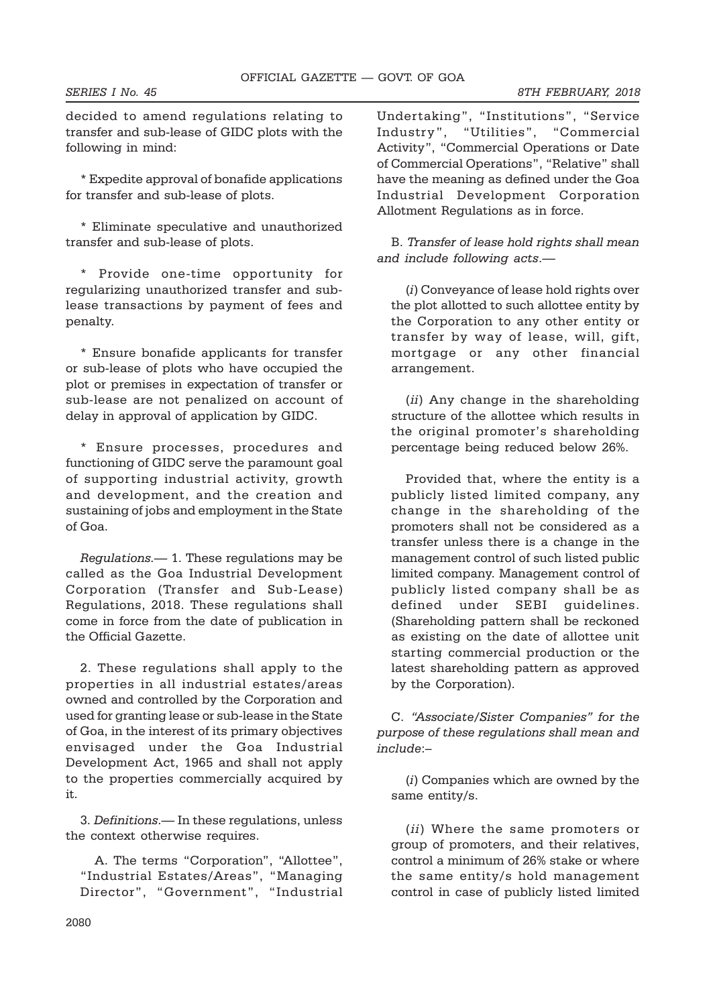decided to amend regulations relating to transfer and sub-lease of GIDC plots with the following in mind:

\* Expedite approval of bonafide applications for transfer and sub-lease of plots.

\* Eliminate speculative and unauthorized transfer and sub-lease of plots.

\* Provide one-time opportunity for regularizing unauthorized transfer and sublease transactions by payment of fees and penalty.

\* Ensure bonafide applicants for transfer or sub-lease of plots who have occupied the plot or premises in expectation of transfer or sub-lease are not penalized on account of delay in approval of application by GIDC.

\* Ensure processes, procedures and functioning of GIDC serve the paramount goal of supporting industrial activity, growth and development, and the creation and sustaining of jobs and employment in the State of Goa.

Regulations.— 1. These regulations may be called as the Goa Industrial Development Corporation (Transfer and Sub-Lease) Regulations, 2018. These regulations shall come in force from the date of publication in the Official Gazette.

2. These regulations shall apply to the properties in all industrial estates/areas owned and controlled by the Corporation and used for granting lease or sub-lease in the State of Goa, in the interest of its primary objectives envisaged under the Goa Industrial Development Act, 1965 and shall not apply to the properties commercially acquired by it.

3. Definitions.— In these regulations, unless the context otherwise requires.

A. The terms "Corporation", "Allottee", "Industrial Estates/Areas", "Managing Director", "Government", "Industrial

Undertaking", "Institutions", "Service Industry", "Utilities", "Commercial Activity", "Commercial Operations or Date of Commercial Operations", "Relative" shall have the meaning as defined under the Goa Industrial Development Corporation Allotment Regulations as in force.

B. Transfer of lease hold rights shall mean and include following acts.—

(i) Conveyance of lease hold rights over the plot allotted to such allottee entity by the Corporation to any other entity or transfer by way of lease, will, gift, mortgage or any other financial arrangement.

(ii) Any change in the shareholding structure of the allottee which results in the original promoter's shareholding percentage being reduced below 26%.

Provided that, where the entity is a publicly listed limited company, any change in the shareholding of the promoters shall not be considered as a transfer unless there is a change in the management control of such listed public limited company. Management control of publicly listed company shall be as defined under SEBI guidelines. (Shareholding pattern shall be reckoned as existing on the date of allottee unit starting commercial production or the latest shareholding pattern as approved by the Corporation).

C. "Associate/Sister Companies" for the purpose of these regulations shall mean and include:–

(i) Companies which are owned by the same entity/s.

(ii) Where the same promoters or group of promoters, and their relatives, control a minimum of 26% stake or where the same entity/s hold management control in case of publicly listed limited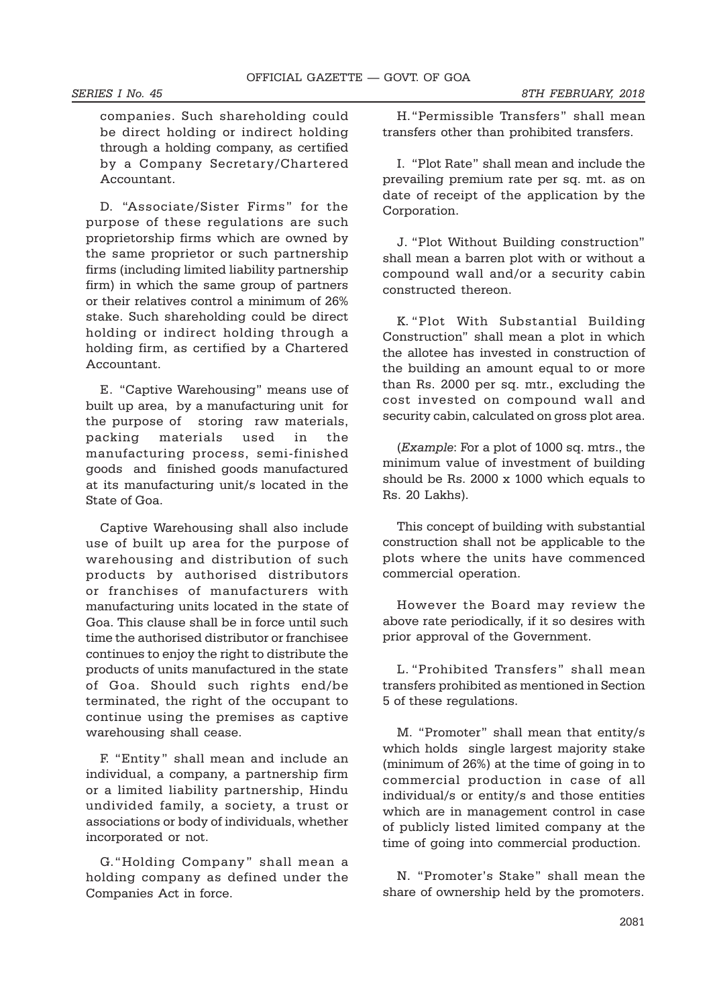companies. Such shareholding could be direct holding or indirect holding through a holding company, as certified by a Company Secretary/Chartered Accountant.

D. "Associate/Sister Firms" for the purpose of these regulations are such proprietorship firms which are owned by the same proprietor or such partnership firms (including limited liability partnership firm) in which the same group of partners or their relatives control a minimum of 26% stake. Such shareholding could be direct holding or indirect holding through a holding firm, as certified by a Chartered Accountant.

E. "Captive Warehousing" means use of built up area, by a manufacturing unit for the purpose of storing raw materials, packing materials used in the manufacturing process, semi-finished goods and finished goods manufactured at its manufacturing unit/s located in the State of Goa.

Captive Warehousing shall also include use of built up area for the purpose of warehousing and distribution of such products by authorised distributors or franchises of manufacturers with manufacturing units located in the state of Goa. This clause shall be in force until such time the authorised distributor or franchisee continues to enjoy the right to distribute the products of units manufactured in the state of Goa. Should such rights end/be terminated, the right of the occupant to continue using the premises as captive warehousing shall cease.

F. "Entity" shall mean and include an individual, a company, a partnership firm or a limited liability partnership, Hindu undivided family, a society, a trust or associations or body of individuals, whether incorporated or not.

G."Holding Company" shall mean a holding company as defined under the Companies Act in force.

H."Permissible Transfers" shall mean transfers other than prohibited transfers.

I. "Plot Rate" shall mean and include the prevailing premium rate per sq. mt. as on date of receipt of the application by the Corporation.

J. "Plot Without Building construction" shall mean a barren plot with or without a compound wall and/or a security cabin constructed thereon.

K. "Plot With Substantial Building Construction" shall mean a plot in which the allotee has invested in construction of the building an amount equal to or more than Rs. 2000 per sq. mtr., excluding the cost invested on compound wall and security cabin, calculated on gross plot area.

(Example: For a plot of 1000 sq. mtrs., the minimum value of investment of building should be Rs. 2000 x 1000 which equals to Rs. 20 Lakhs).

This concept of building with substantial construction shall not be applicable to the plots where the units have commenced commercial operation.

However the Board may review the above rate periodically, if it so desires with prior approval of the Government.

L. "Prohibited Transfers" shall mean transfers prohibited as mentioned in Section 5 of these regulations.

M. "Promoter" shall mean that entity/s which holds single largest majority stake (minimum of 26%) at the time of going in to commercial production in case of all individual/s or entity/s and those entities which are in management control in case of publicly listed limited company at the time of going into commercial production.

N. "Promoter's Stake" shall mean the share of ownership held by the promoters.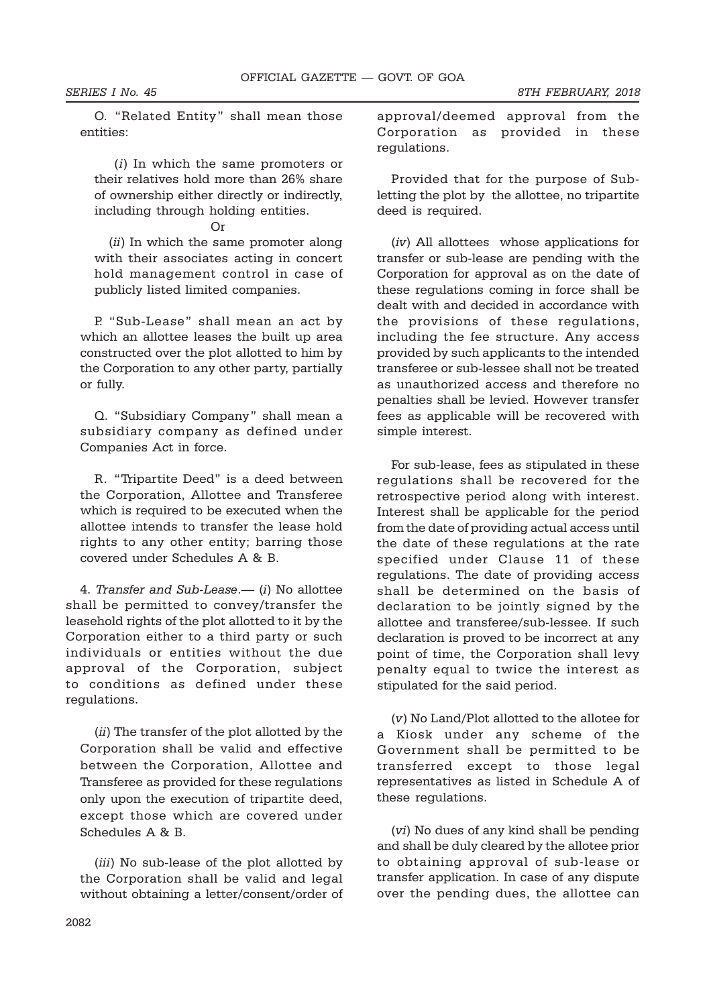SERIES I No. 45 8TH FEBRUARY, 2018

O. "Related Entity" shall mean those entities:

 (i) In which the same promoters or their relatives hold more than 26% share of ownership either directly or indirectly, including through holding entities.

Or

(*ii*) In which the same promoter along with their associates acting in concert hold management control in case of publicly listed limited companies.

P. "Sub-Lease" shall mean an act by which an allottee leases the built up area constructed over the plot allotted to him by the Corporation to any other party, partially or fully.

Q. "Subsidiary Company" shall mean a subsidiary company as defined under Companies Act in force.

R. "Tripartite Deed" is a deed between the Corporation, Allottee and Transferee which is required to be executed when the allottee intends to transfer the lease hold rights to any other entity; barring those covered under Schedules A & B.

4. Transfer and Sub-Lease.— (i) No allottee shall be permitted to convey/transfer the leasehold rights of the plot allotted to it by the Corporation either to a third party or such individuals or entities without the due approval of the Corporation, subject to conditions as defined under these regulations.

(ii) The transfer of the plot allotted by the Corporation shall be valid and effective between the Corporation, Allottee and Transferee as provided for these regulations only upon the execution of tripartite deed, except those which are covered under Schedules A & B.

(iii) No sub-lease of the plot allotted by the Corporation shall be valid and legal without obtaining a letter/consent/order of

approval/deemed approval from the Corporation as provided in these regulations.

Provided that for the purpose of Subletting the plot by the allottee, no tripartite deed is required.

(iv) All allottees whose applications for transfer or sub-lease are pending with the Corporation for approval as on the date of these regulations coming in force shall be dealt with and decided in accordance with the provisions of these regulations, including the fee structure. Any access provided by such applicants to the intended transferee or sub-lessee shall not be treated as unauthorized access and therefore no penalties shall be levied. However transfer fees as applicable will be recovered with simple interest.

For sub-lease, fees as stipulated in these regulations shall be recovered for the retrospective period along with interest. Interest shall be applicable for the period from the date of providing actual access until the date of these regulations at the rate specified under Clause 11 of these regulations. The date of providing access shall be determined on the basis of declaration to be jointly signed by the allottee and transferee/sub-lessee. If such declaration is proved to be incorrect at any point of time, the Corporation shall levy penalty equal to twice the interest as stipulated for the said period.

(v) No Land/Plot allotted to the allotee for a Kiosk under any scheme of the Government shall be permitted to be transferred except to those legal representatives as listed in Schedule A of these regulations.

(vi) No dues of any kind shall be pending and shall be duly cleared by the allotee prior to obtaining approval of sub-lease or transfer application. In case of any dispute over the pending dues, the allottee can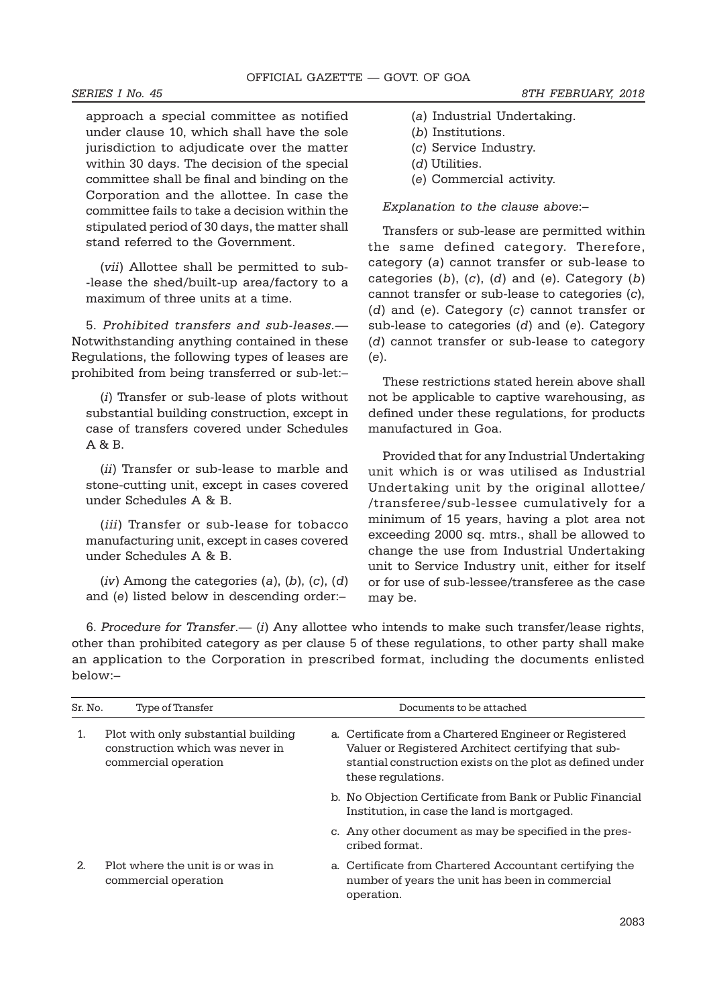approach a special committee as notified under clause 10, which shall have the sole jurisdiction to adjudicate over the matter within 30 days. The decision of the special committee shall be final and binding on the Corporation and the allottee. In case the committee fails to take a decision within the stipulated period of 30 days, the matter shall stand referred to the Government.

(vii) Allottee shall be permitted to sub- -lease the shed/built-up area/factory to a maximum of three units at a time.

5. Prohibited transfers and sub-leases.— Notwithstanding anything contained in these Regulations, the following types of leases are prohibited from being transferred or sub-let:–

(i) Transfer or sub-lease of plots without substantial building construction, except in case of transfers covered under Schedules A & B.

(ii) Transfer or sub-lease to marble and stone-cutting unit, except in cases covered under Schedules A & B.

(iii) Transfer or sub-lease for tobacco manufacturing unit, except in cases covered under Schedules A & B.

 $(iv)$  Among the categories  $(a)$ ,  $(b)$ ,  $(c)$ ,  $(d)$ and (e) listed below in descending order:–

- (a) Industrial Undertaking.
- (b) Institutions.
- (c) Service Industry.
- (d) Utilities.
- (e) Commercial activity.

### Explanation to the clause above:–

Transfers or sub-lease are permitted within the same defined category. Therefore, category (a) cannot transfer or sub-lease to categories  $(b)$ ,  $(c)$ ,  $(d)$  and  $(e)$ . Category  $(b)$ cannot transfer or sub-lease to categories (c), (d) and (e). Category (c) cannot transfer or sub-lease to categories (d) and (e). Category (d) cannot transfer or sub-lease to category (e).

These restrictions stated herein above shall not be applicable to captive warehousing, as defined under these regulations, for products manufactured in Goa.

Provided that for any Industrial Undertaking unit which is or was utilised as Industrial Undertaking unit by the original allottee/ /transferee/sub-lessee cumulatively for a minimum of 15 years, having a plot area not exceeding 2000 sq. mtrs., shall be allowed to change the use from Industrial Undertaking unit to Service Industry unit, either for itself or for use of sub-lessee/transferee as the case may be.

6. Procedure for Transfer.—  $(i)$  Any allottee who intends to make such transfer/lease rights, other than prohibited category as per clause 5 of these regulations, to other party shall make an application to the Corporation in prescribed format, including the documents enlisted below:–

| Sr. No. | Type of Transfer                                                                               | Documents to be attached                                                                                                                                                                         |
|---------|------------------------------------------------------------------------------------------------|--------------------------------------------------------------------------------------------------------------------------------------------------------------------------------------------------|
| 1.      | Plot with only substantial building<br>construction which was never in<br>commercial operation | a. Certificate from a Chartered Engineer or Registered<br>Valuer or Registered Architect certifying that sub-<br>stantial construction exists on the plot as defined under<br>these regulations. |
|         |                                                                                                | b. No Objection Certificate from Bank or Public Financial<br>Institution, in case the land is mortgaged.                                                                                         |
|         |                                                                                                | c. Any other document as may be specified in the pres-<br>cribed format.                                                                                                                         |
| 2.      | Plot where the unit is or was in<br>commercial operation                                       | a. Certificate from Chartered Accountant certifying the<br>number of years the unit has been in commercial<br>operation.                                                                         |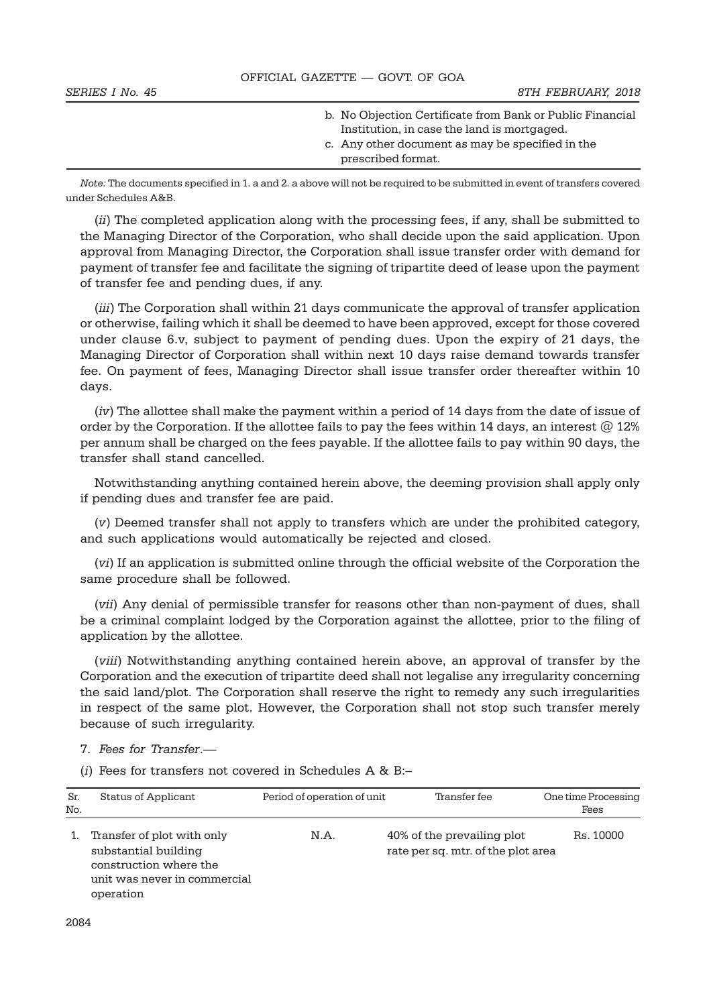| OFFICIAL GAZETTE - GOVT. OF GOA |                                                                                                                                                                                    |  |  |  |
|---------------------------------|------------------------------------------------------------------------------------------------------------------------------------------------------------------------------------|--|--|--|
| SERIES I No. 45                 | 8TH FEBRUARY, 2018                                                                                                                                                                 |  |  |  |
|                                 | b. No Objection Certificate from Bank or Public Financial<br>Institution, in case the land is mortgaged.<br>c. Any other document as may be specified in the<br>prescribed format. |  |  |  |

Note: The documents specified in 1. a and 2. a above will not be required to be submitted in event of transfers covered under Schedules A&B.

(ii) The completed application along with the processing fees, if any, shall be submitted to the Managing Director of the Corporation, who shall decide upon the said application. Upon approval from Managing Director, the Corporation shall issue transfer order with demand for payment of transfer fee and facilitate the signing of tripartite deed of lease upon the payment of transfer fee and pending dues, if any.

(*iii*) The Corporation shall within 21 days communicate the approval of transfer application or otherwise, failing which it shall be deemed to have been approved, except for those covered under clause 6.v, subject to payment of pending dues. Upon the expiry of 21 days, the Managing Director of Corporation shall within next 10 days raise demand towards transfer fee. On payment of fees, Managing Director shall issue transfer order thereafter within 10 days.

(iv) The allottee shall make the payment within a period of 14 days from the date of issue of order by the Corporation. If the allottee fails to pay the fees within 14 days, an interest  $@12\%$ per annum shall be charged on the fees payable. If the allottee fails to pay within 90 days, the transfer shall stand cancelled.

Notwithstanding anything contained herein above, the deeming provision shall apply only if pending dues and transfer fee are paid.

(v) Deemed transfer shall not apply to transfers which are under the prohibited category, and such applications would automatically be rejected and closed.

(vi) If an application is submitted online through the official website of the Corporation the same procedure shall be followed.

(vii) Any denial of permissible transfer for reasons other than non-payment of dues, shall be a criminal complaint lodged by the Corporation against the allottee, prior to the filing of application by the allottee.

(viii) Notwithstanding anything contained herein above, an approval of transfer by the Corporation and the execution of tripartite deed shall not legalise any irregularity concerning the said land/plot. The Corporation shall reserve the right to remedy any such irregularities in respect of the same plot. However, the Corporation shall not stop such transfer merely because of such irregularity.

- 7. Fees for Transfer.—
- (i) Fees for transfers not covered in Schedules  $A \& B$ :-

| Sr.<br>No. | Status of Applicant                                                                                                       | Period of operation of unit | Transfer fee                                                     | One time Processing<br>Fees |
|------------|---------------------------------------------------------------------------------------------------------------------------|-----------------------------|------------------------------------------------------------------|-----------------------------|
|            | Transfer of plot with only<br>substantial building<br>construction where the<br>unit was never in commercial<br>operation | N.A.                        | 40% of the prevailing plot<br>rate per sq. mtr. of the plot area | Rs. 10000                   |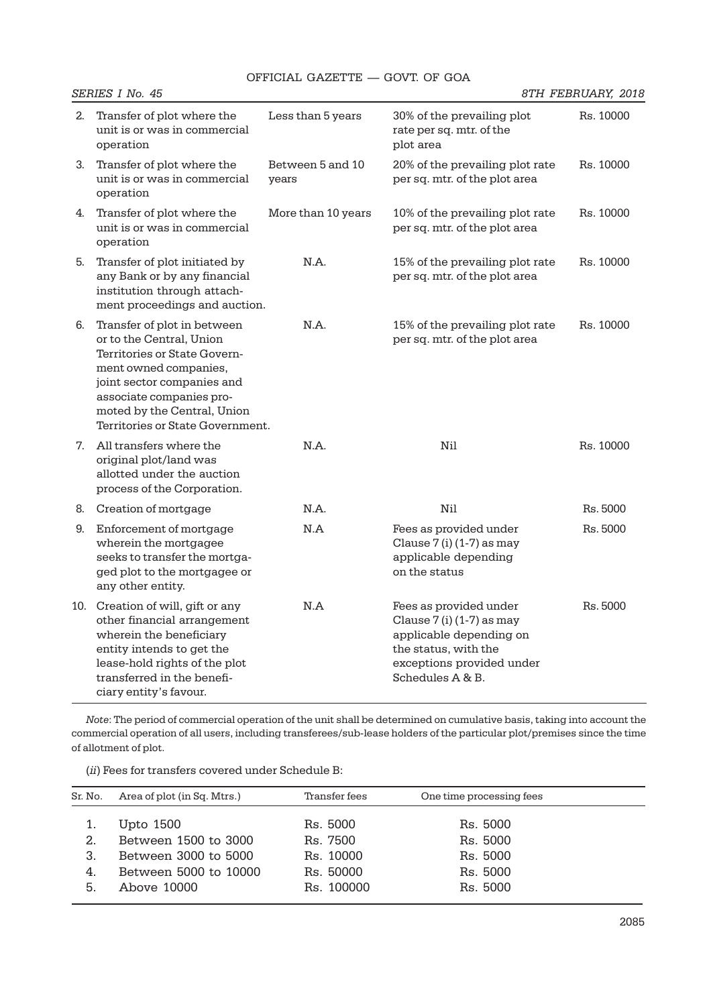|    | SERIES I No. 45                                                                                                                                                                                                                               |                           |                                                                                                                                                           | 8TH FEBRUARY, 2018 |
|----|-----------------------------------------------------------------------------------------------------------------------------------------------------------------------------------------------------------------------------------------------|---------------------------|-----------------------------------------------------------------------------------------------------------------------------------------------------------|--------------------|
| 2. | Transfer of plot where the<br>unit is or was in commercial<br>operation                                                                                                                                                                       | Less than 5 years         | 30% of the prevailing plot<br>rate per sq. mtr. of the<br>plot area                                                                                       | Rs. 10000          |
| 3. | Transfer of plot where the<br>unit is or was in commercial<br>operation                                                                                                                                                                       | Between 5 and 10<br>years | 20% of the prevailing plot rate<br>per sq. mtr. of the plot area                                                                                          | Rs. 10000          |
| 4. | Transfer of plot where the<br>unit is or was in commercial<br>operation                                                                                                                                                                       | More than 10 years        | 10% of the prevailing plot rate<br>per sq. mtr. of the plot area                                                                                          | Rs. 10000          |
| 5. | Transfer of plot initiated by<br>any Bank or by any financial<br>institution through attach-<br>ment proceedings and auction.                                                                                                                 | N.A.                      | 15% of the prevailing plot rate<br>per sq. mtr. of the plot area                                                                                          | Rs. 10000          |
| 6. | Transfer of plot in between<br>or to the Central, Union<br>Territories or State Govern-<br>ment owned companies,<br>joint sector companies and<br>associate companies pro-<br>moted by the Central, Union<br>Territories or State Government. | N.A.                      | 15% of the prevailing plot rate<br>per sq. mtr. of the plot area                                                                                          | Rs. 10000          |
|    | 7. All transfers where the<br>original plot/land was<br>allotted under the auction<br>process of the Corporation.                                                                                                                             | N.A.                      | Nil                                                                                                                                                       | Rs. 10000          |
| 8. | Creation of mortgage                                                                                                                                                                                                                          | N.A.                      | Nil                                                                                                                                                       | Rs. 5000           |
| 9. | Enforcement of mortgage<br>wherein the mortgagee<br>seeks to transfer the mortga-<br>ged plot to the mortgagee or<br>any other entity.                                                                                                        | N.A                       | Fees as provided under<br>Clause $7$ (i) (1-7) as may<br>applicable depending<br>on the status                                                            | Rs. 5000           |
|    | 10. Creation of will, gift or any<br>other financial arrangement<br>wherein the beneficiary<br>entity intends to get the<br>lease-hold rights of the plot<br>transferred in the benefi-<br>ciary entity's favour.                             | N.A                       | Fees as provided under<br>Clause $7$ (i) (1-7) as may<br>applicable depending on<br>the status, with the<br>exceptions provided under<br>Schedules A & B. | Rs. 5000           |

Note: The period of commercial operation of the unit shall be determined on cumulative basis, taking into account the commercial operation of all users, including transferees/sub-lease holders of the particular plot/premises since the time of allotment of plot.

(ii) Fees for transfers covered under Schedule B:

| Sr. No. | Area of plot (in Sq. Mtrs.) | Transfer fees | One time processing fees |  |
|---------|-----------------------------|---------------|--------------------------|--|
|         |                             | Rs. 5000      | Rs. 5000                 |  |
|         | Upto 1500                   |               |                          |  |
| 2.      | Between 1500 to 3000        | Rs. 7500      | Rs. 5000                 |  |
| 3.      | Between 3000 to 5000        | Rs. 10000     | Rs. 5000                 |  |
| 4.      | Between 5000 to 10000       | Rs. 50000     | Rs. 5000                 |  |
| 5.      | Above 10000                 | Rs. 100000    | Rs. 5000                 |  |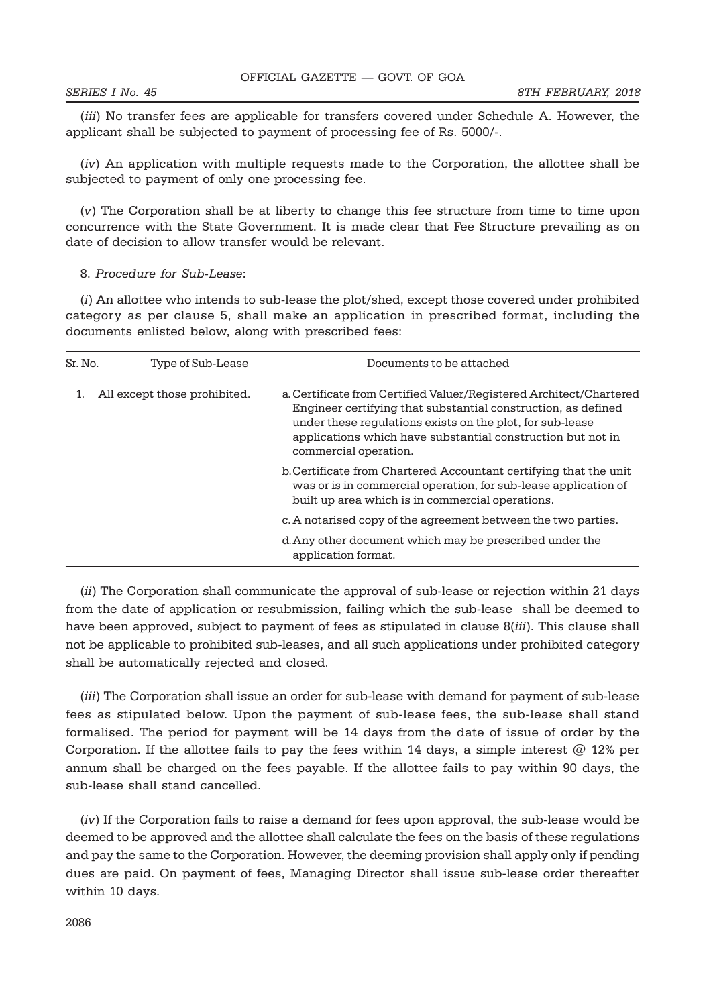(iii) No transfer fees are applicable for transfers covered under Schedule A. However, the applicant shall be subjected to payment of processing fee of Rs. 5000/-.

(iv) An application with multiple requests made to the Corporation, the allottee shall be subjected to payment of only one processing fee.

(v) The Corporation shall be at liberty to change this fee structure from time to time upon concurrence with the State Government. It is made clear that Fee Structure prevailing as on date of decision to allow transfer would be relevant.

### 8. Procedure for Sub-Lease:

(i) An allottee who intends to sub-lease the plot/shed, except those covered under prohibited category as per clause 5, shall make an application in prescribed format, including the documents enlisted below, along with prescribed fees:

| Sr. No. | Type of Sub-Lease            | Documents to be attached                                                                                                                                                                                                                                                                  |
|---------|------------------------------|-------------------------------------------------------------------------------------------------------------------------------------------------------------------------------------------------------------------------------------------------------------------------------------------|
|         | All except those prohibited. | a. Certificate from Certified Valuer/Registered Architect/Chartered<br>Engineer certifying that substantial construction, as defined<br>under these regulations exists on the plot, for sub-lease<br>applications which have substantial construction but not in<br>commercial operation. |
|         |                              | b. Certificate from Chartered Accountant certifying that the unit<br>was or is in commercial operation, for sub-lease application of<br>built up area which is in commercial operations.                                                                                                  |
|         |                              | c. A notarised copy of the agreement between the two parties.                                                                                                                                                                                                                             |
|         |                              | d. Any other document which may be prescribed under the<br>application format.                                                                                                                                                                                                            |

(ii) The Corporation shall communicate the approval of sub-lease or rejection within 21 days from the date of application or resubmission, failing which the sub-lease shall be deemed to have been approved, subject to payment of fees as stipulated in clause 8(*iii*). This clause shall not be applicable to prohibited sub-leases, and all such applications under prohibited category shall be automatically rejected and closed.

(iii) The Corporation shall issue an order for sub-lease with demand for payment of sub-lease fees as stipulated below. Upon the payment of sub-lease fees, the sub-lease shall stand formalised. The period for payment will be 14 days from the date of issue of order by the Corporation. If the allottee fails to pay the fees within 14 days, a simple interest  $@12\%$  per annum shall be charged on the fees payable. If the allottee fails to pay within 90 days, the sub-lease shall stand cancelled.

(iv) If the Corporation fails to raise a demand for fees upon approval, the sub-lease would be deemed to be approved and the allottee shall calculate the fees on the basis of these regulations and pay the same to the Corporation. However, the deeming provision shall apply only if pending dues are paid. On payment of fees, Managing Director shall issue sub-lease order thereafter within 10 days.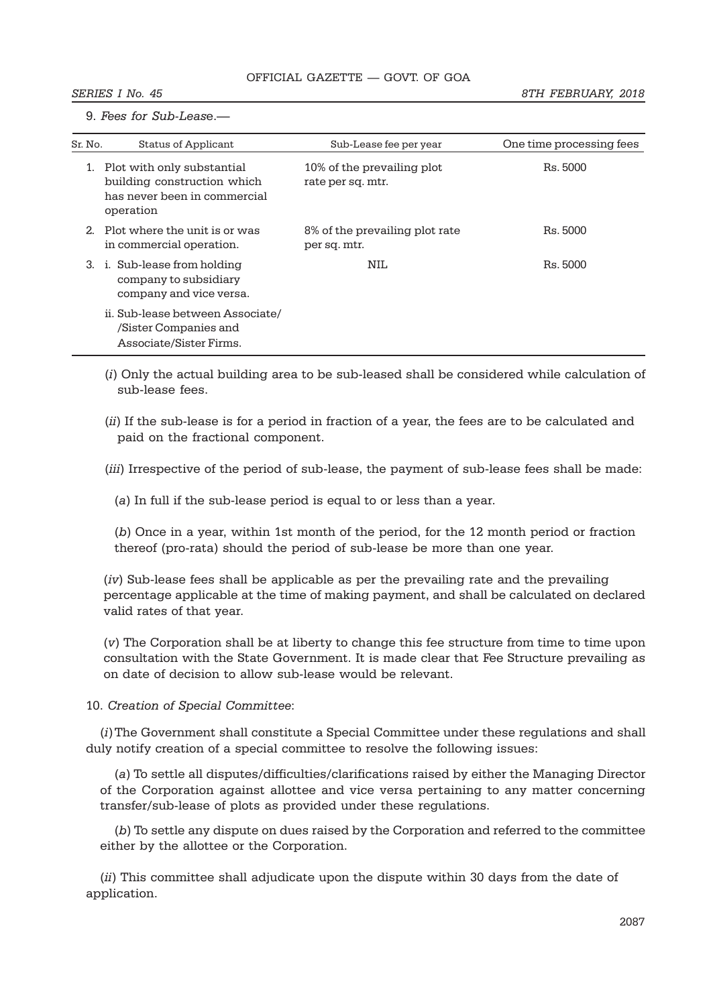9. Fees for Sub-Lease.—

| Sr. No.        | <b>Status of Applicant</b>                                                                             | Sub-Lease fee per year                          | One time processing fees |
|----------------|--------------------------------------------------------------------------------------------------------|-------------------------------------------------|--------------------------|
|                | Plot with only substantial<br>building construction which<br>has never been in commercial<br>operation | 10% of the prevailing plot<br>rate per sq. mtr. | Rs. 5000                 |
| 2 <sub>1</sub> | Plot where the unit is or was<br>in commercial operation.                                              | 8% of the prevailing plot rate<br>per sq. mtr.  | Rs. 5000                 |
| 3.             | i. Sub-lease from holding<br>company to subsidiary<br>company and vice versa.                          | NII.                                            | Rs. 5000                 |
|                | ii. Sub-lease between Associate/<br>/Sister Companies and<br>Associate/Sister Firms.                   |                                                 |                          |

(i) Only the actual building area to be sub-leased shall be considered while calculation of sub-lease fees.

(ii) If the sub-lease is for a period in fraction of a year, the fees are to be calculated and paid on the fractional component.

(iii) Irrespective of the period of sub-lease, the payment of sub-lease fees shall be made:

(a) In full if the sub-lease period is equal to or less than a year.

(b) Once in a year, within 1st month of the period, for the 12 month period or fraction thereof (pro-rata) should the period of sub-lease be more than one year.

(iv) Sub-lease fees shall be applicable as per the prevailing rate and the prevailing percentage applicable at the time of making payment, and shall be calculated on declared valid rates of that year.

(v) The Corporation shall be at liberty to change this fee structure from time to time upon consultation with the State Government. It is made clear that Fee Structure prevailing as on date of decision to allow sub-lease would be relevant.

10. Creation of Special Committee:

(i)The Government shall constitute a Special Committee under these regulations and shall duly notify creation of a special committee to resolve the following issues:

(a) To settle all disputes/difficulties/clarifications raised by either the Managing Director of the Corporation against allottee and vice versa pertaining to any matter concerning transfer/sub-lease of plots as provided under these regulations.

(b) To settle any dispute on dues raised by the Corporation and referred to the committee either by the allottee or the Corporation.

(ii) This committee shall adjudicate upon the dispute within 30 days from the date of application.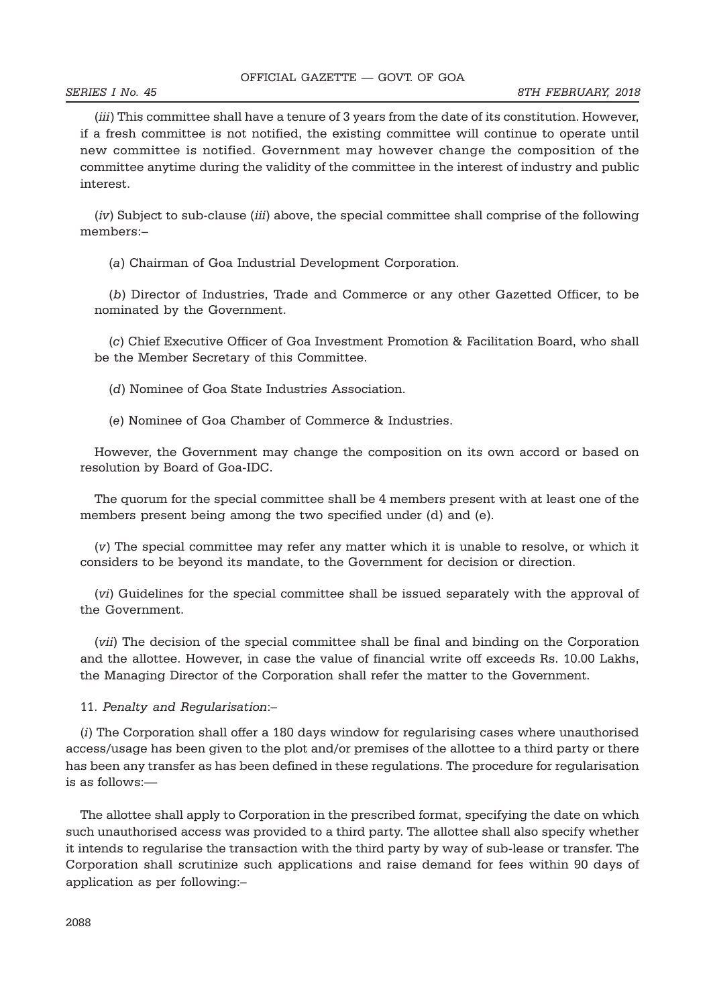(iii) This committee shall have a tenure of 3 years from the date of its constitution. However, if a fresh committee is not notified, the existing committee will continue to operate until new committee is notified. Government may however change the composition of the committee anytime during the validity of the committee in the interest of industry and public interest.

(iv) Subject to sub-clause (iii) above, the special committee shall comprise of the following members:–

(a) Chairman of Goa Industrial Development Corporation.

(b) Director of Industries, Trade and Commerce or any other Gazetted Officer, to be nominated by the Government.

(c) Chief Executive Officer of Goa Investment Promotion & Facilitation Board, who shall be the Member Secretary of this Committee.

(d) Nominee of Goa State Industries Association.

(e) Nominee of Goa Chamber of Commerce & Industries.

However, the Government may change the composition on its own accord or based on resolution by Board of Goa-IDC.

The quorum for the special committee shall be 4 members present with at least one of the members present being among the two specified under (d) and (e).

(v) The special committee may refer any matter which it is unable to resolve, or which it considers to be beyond its mandate, to the Government for decision or direction.

(vi) Guidelines for the special committee shall be issued separately with the approval of the Government.

(vii) The decision of the special committee shall be final and binding on the Corporation and the allottee. However, in case the value of financial write off exceeds Rs. 10.00 Lakhs, the Managing Director of the Corporation shall refer the matter to the Government.

11. Penalty and Regularisation:–

(i) The Corporation shall offer a 180 days window for regularising cases where unauthorised access/usage has been given to the plot and/or premises of the allottee to a third party or there has been any transfer as has been defined in these regulations. The procedure for regularisation is as follows:—

The allottee shall apply to Corporation in the prescribed format, specifying the date on which such unauthorised access was provided to a third party. The allottee shall also specify whether it intends to regularise the transaction with the third party by way of sub-lease or transfer. The Corporation shall scrutinize such applications and raise demand for fees within 90 days of application as per following:–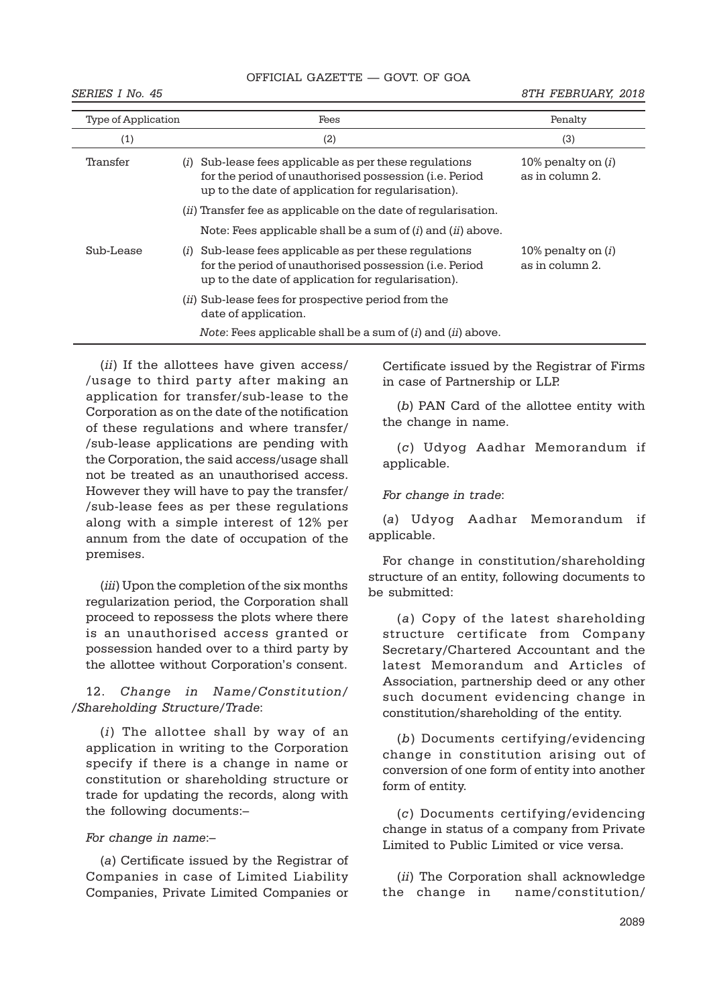# OFFICIAL GAZETTE — GOVT. OF GOA

SERIES I No. 45 8TH FEBRUARY, 2018

| Type of Application | Fees                                                                                                                                                                              | Penalty                                 |
|---------------------|-----------------------------------------------------------------------------------------------------------------------------------------------------------------------------------|-----------------------------------------|
| (1)                 | (2)                                                                                                                                                                               | (3)                                     |
| Transfer            | Sub-lease fees applicable as per these regulations<br>(i)<br>for the period of unauthorised possession ( <i>i.e.</i> Period<br>up to the date of application for regularisation). | 10% penalty on $(i)$<br>as in column 2. |
|                     | ( <i>ii</i> ) Transfer fee as applicable on the date of reqularisation.                                                                                                           |                                         |
|                     | Note: Fees applicable shall be a sum of ( <i>i</i> ) and ( <i>ii</i> ) above.                                                                                                     |                                         |
| Sub-Lease           | Sub-lease fees applicable as per these regulations<br>(i)<br>for the period of unauthorised possession ( <i>i.e.</i> Period<br>up to the date of application for regularisation). | 10% penalty on $(i)$<br>as in column 2. |
|                     | ( <i>ii</i> ) Sub-lease fees for prospective period from the<br>date of application.                                                                                              |                                         |
|                     | <i>Note:</i> Fees applicable shall be a sum of ( <i>i</i> ) and ( <i>ii</i> ) above.                                                                                              |                                         |

(ii) If the allottees have given access/ /usage to third party after making an application for transfer/sub-lease to the Corporation as on the date of the notification of these regulations and where transfer/ /sub-lease applications are pending with the Corporation, the said access/usage shall not be treated as an unauthorised access. However they will have to pay the transfer/ /sub-lease fees as per these regulations along with a simple interest of 12% per annum from the date of occupation of the premises.

(*iii*) Upon the completion of the six months regularization period, the Corporation shall proceed to repossess the plots where there is an unauthorised access granted or possession handed over to a third party by the allottee without Corporation's consent.

12. Change in Name/Constitution/ /Shareholding Structure/Trade:

(i) The allottee shall by way of an application in writing to the Corporation specify if there is a change in name or constitution or shareholding structure or trade for updating the records, along with the following documents:–

## For change in name:–

(a) Certificate issued by the Registrar of Companies in case of Limited Liability Companies, Private Limited Companies or Certificate issued by the Registrar of Firms in case of Partnership or LLP.

(b) PAN Card of the allottee entity with the change in name.

(c) Udyog Aadhar Memorandum if applicable.

For change in trade:

(a) Udyog Aadhar Memorandum if applicable.

For change in constitution/shareholding structure of an entity, following documents to be submitted:

(a) Copy of the latest shareholding structure certificate from Company Secretary/Chartered Accountant and the latest Memorandum and Articles of Association, partnership deed or any other such document evidencing change in constitution/shareholding of the entity.

(b) Documents certifying/evidencing change in constitution arising out of conversion of one form of entity into another form of entity.

(c) Documents certifying/evidencing change in status of a company from Private Limited to Public Limited or vice versa.

(ii) The Corporation shall acknowledge the change in name/constitution/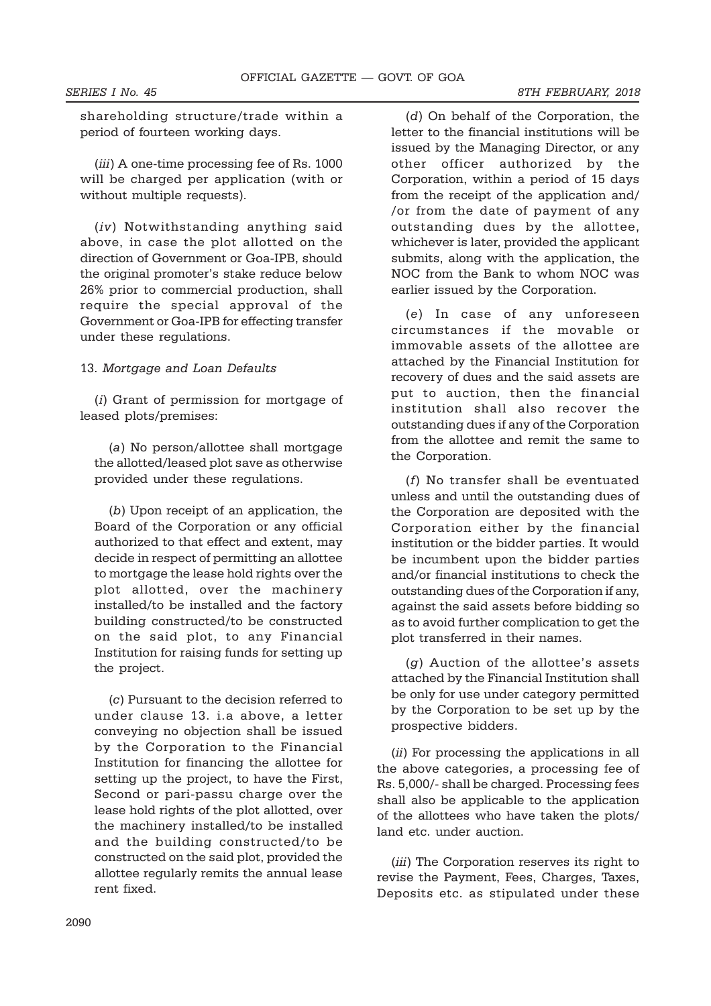shareholding structure/trade within a period of fourteen working days.

(iii) A one-time processing fee of Rs. 1000 will be charged per application (with or without multiple requests).

(iv) Notwithstanding anything said above, in case the plot allotted on the direction of Government or Goa-IPB, should the original promoter's stake reduce below 26% prior to commercial production, shall require the special approval of the Government or Goa-IPB for effecting transfer under these regulations.

## 13. Mortgage and Loan Defaults

(i) Grant of permission for mortgage of leased plots/premises:

(a) No person/allottee shall mortgage the allotted/leased plot save as otherwise provided under these regulations.

(b) Upon receipt of an application, the Board of the Corporation or any official authorized to that effect and extent, may decide in respect of permitting an allottee to mortgage the lease hold rights over the plot allotted, over the machinery installed/to be installed and the factory building constructed/to be constructed on the said plot, to any Financial Institution for raising funds for setting up the project.

(c) Pursuant to the decision referred to under clause 13. i.a above, a letter conveying no objection shall be issued by the Corporation to the Financial Institution for financing the allottee for setting up the project, to have the First, Second or pari-passu charge over the lease hold rights of the plot allotted, over the machinery installed/to be installed and the building constructed/to be constructed on the said plot, provided the allottee regularly remits the annual lease rent fixed.

(d) On behalf of the Corporation, the letter to the financial institutions will be issued by the Managing Director, or any other officer authorized by the Corporation, within a period of 15 days from the receipt of the application and/ /or from the date of payment of any outstanding dues by the allottee, whichever is later, provided the applicant submits, along with the application, the NOC from the Bank to whom NOC was earlier issued by the Corporation.

(e) In case of any unforeseen circumstances if the movable or immovable assets of the allottee are attached by the Financial Institution for recovery of dues and the said assets are put to auction, then the financial institution shall also recover the outstanding dues if any of the Corporation from the allottee and remit the same to the Corporation.

(f) No transfer shall be eventuated unless and until the outstanding dues of the Corporation are deposited with the Corporation either by the financial institution or the bidder parties. It would be incumbent upon the bidder parties and/or financial institutions to check the outstanding dues of the Corporation if any, against the said assets before bidding so as to avoid further complication to get the plot transferred in their names.

(g) Auction of the allottee's assets attached by the Financial Institution shall be only for use under category permitted by the Corporation to be set up by the prospective bidders.

(ii) For processing the applications in all the above categories, a processing fee of Rs. 5,000/- shall be charged. Processing fees shall also be applicable to the application of the allottees who have taken the plots/ land etc. under auction.

(*iii*) The Corporation reserves its right to revise the Payment, Fees, Charges, Taxes, Deposits etc. as stipulated under these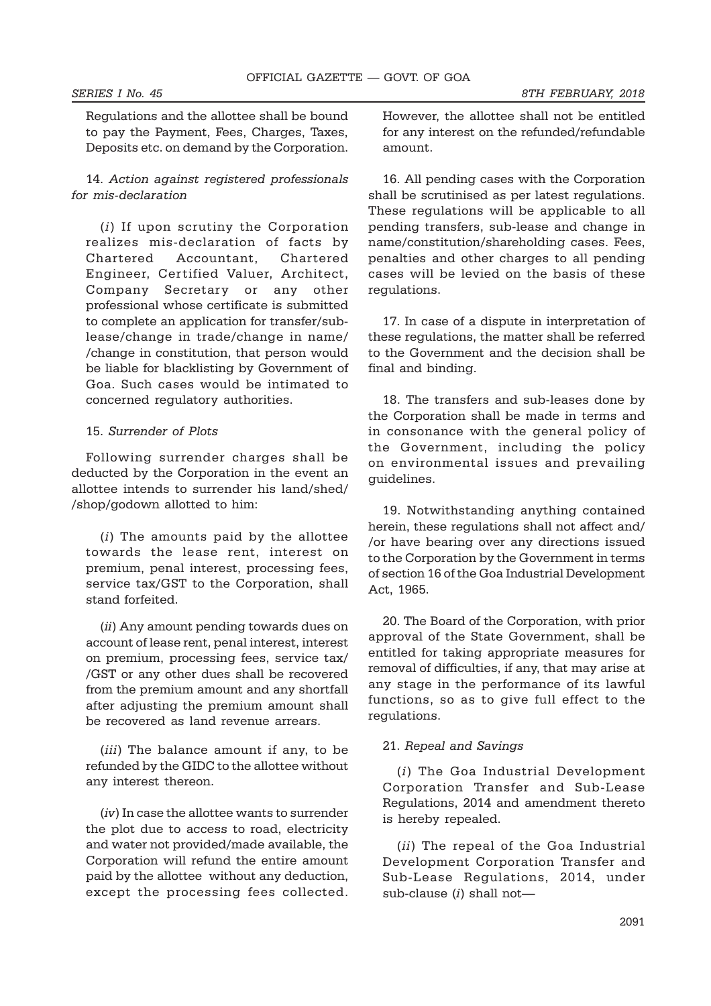Regulations and the allottee shall be bound to pay the Payment, Fees, Charges, Taxes, Deposits etc. on demand by the Corporation.

# 14. Action against registered professionals for mis-declaration

(i) If upon scrutiny the Corporation realizes mis-declaration of facts by Chartered Accountant, Chartered Engineer, Certified Valuer, Architect, Company Secretary or any other professional whose certificate is submitted to complete an application for transfer/sublease/change in trade/change in name/ /change in constitution, that person would be liable for blacklisting by Government of Goa. Such cases would be intimated to concerned regulatory authorities.

### 15. Surrender of Plots

Following surrender charges shall be deducted by the Corporation in the event an allottee intends to surrender his land/shed/ /shop/godown allotted to him:

(i) The amounts paid by the allottee towards the lease rent, interest on premium, penal interest, processing fees, service tax/GST to the Corporation, shall stand forfeited.

(ii) Any amount pending towards dues on account of lease rent, penal interest, interest on premium, processing fees, service tax/ /GST or any other dues shall be recovered from the premium amount and any shortfall after adjusting the premium amount shall be recovered as land revenue arrears.

(*iii*) The balance amount if any, to be refunded by the GIDC to the allottee without any interest thereon.

(iv) In case the allottee wants to surrender the plot due to access to road, electricity and water not provided/made available, the Corporation will refund the entire amount paid by the allottee without any deduction, except the processing fees collected.

However, the allottee shall not be entitled for any interest on the refunded/refundable amount.

16. All pending cases with the Corporation shall be scrutinised as per latest regulations. These regulations will be applicable to all pending transfers, sub-lease and change in name/constitution/shareholding cases. Fees, penalties and other charges to all pending cases will be levied on the basis of these regulations.

17. In case of a dispute in interpretation of these regulations, the matter shall be referred to the Government and the decision shall be final and binding.

18. The transfers and sub-leases done by the Corporation shall be made in terms and in consonance with the general policy of the Government, including the policy on environmental issues and prevailing guidelines.

19. Notwithstanding anything contained herein, these regulations shall not affect and/ /or have bearing over any directions issued to the Corporation by the Government in terms of section 16 of the Goa Industrial Development Act, 1965.

20. The Board of the Corporation, with prior approval of the State Government, shall be entitled for taking appropriate measures for removal of difficulties, if any, that may arise at any stage in the performance of its lawful functions, so as to give full effect to the regulations.

## 21. Repeal and Savings

(i) The Goa Industrial Development Corporation Transfer and Sub-Lease Regulations, 2014 and amendment thereto is hereby repealed.

(ii) The repeal of the Goa Industrial Development Corporation Transfer and Sub-Lease Regulations, 2014, under sub-clause  $(i)$  shall not-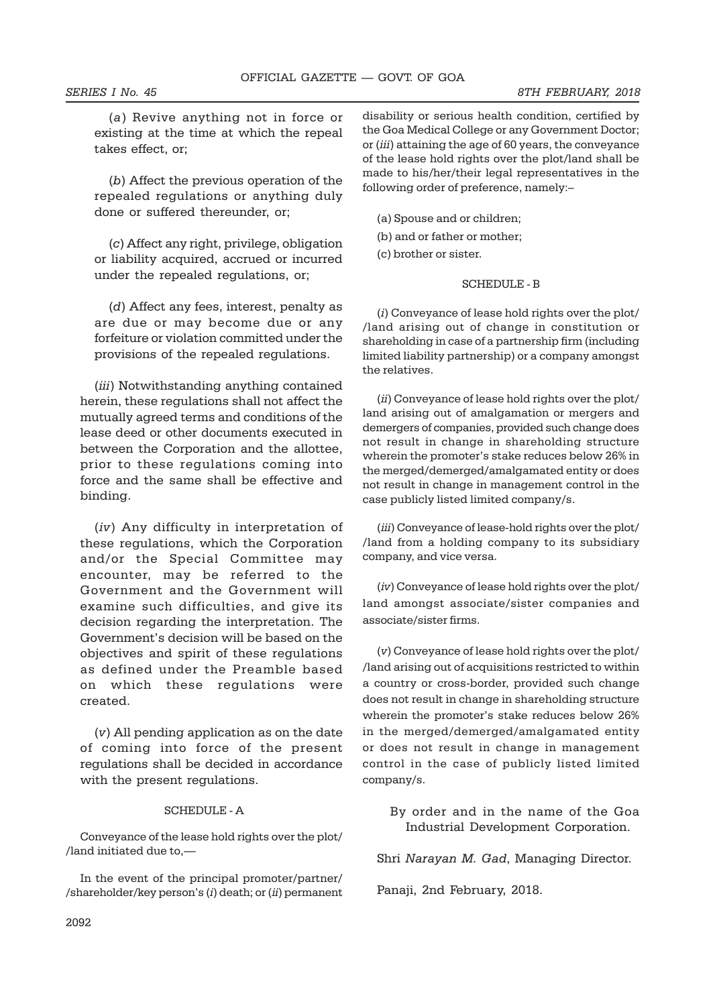(a) Revive anything not in force or existing at the time at which the repeal takes effect, or;

(b) Affect the previous operation of the repealed regulations or anything duly done or suffered thereunder, or;

(c) Affect any right, privilege, obligation or liability acquired, accrued or incurred under the repealed regulations, or;

(d) Affect any fees, interest, penalty as are due or may become due or any forfeiture or violation committed under the provisions of the repealed regulations.

(iii) Notwithstanding anything contained herein, these regulations shall not affect the mutually agreed terms and conditions of the lease deed or other documents executed in between the Corporation and the allottee, prior to these regulations coming into force and the same shall be effective and binding.

(iv) Any difficulty in interpretation of these regulations, which the Corporation and/or the Special Committee may encounter, may be referred to the Government and the Government will examine such difficulties, and give its decision regarding the interpretation. The Government's decision will be based on the objectives and spirit of these regulations as defined under the Preamble based on which these regulations were created.

(v) All pending application as on the date of coming into force of the present regulations shall be decided in accordance with the present regulations.

# SCHEDULE - A

Conveyance of the lease hold rights over the plot/ /land initiated due to,—

In the event of the principal promoter/partner/ /shareholder/key person's  $(i)$  death; or  $(ii)$  permanent disability or serious health condition, certified by the Goa Medical College or any Government Doctor; or (iii) attaining the age of 60 years, the conveyance of the lease hold rights over the plot/land shall be made to his/her/their legal representatives in the following order of preference, namely:–

(a) Spouse and or children;

(b) and or father or mother;

(c) brother or sister.

# SCHEDULE - B

(i) Conveyance of lease hold rights over the plot/ /land arising out of change in constitution or shareholding in case of a partnership firm (including limited liability partnership) or a company amongst the relatives.

(ii) Conveyance of lease hold rights over the plot/ land arising out of amalgamation or mergers and demergers of companies, provided such change does not result in change in shareholding structure wherein the promoter's stake reduces below 26% in the merged/demerged/amalgamated entity or does not result in change in management control in the case publicly listed limited company/s.

(iii) Conveyance of lease-hold rights over the plot/ /land from a holding company to its subsidiary company, and vice versa.

(iv) Conveyance of lease hold rights over the plot/ land amongst associate/sister companies and associate/sister firms.

(v) Conveyance of lease hold rights over the plot/ /land arising out of acquisitions restricted to within a country or cross-border, provided such change does not result in change in shareholding structure wherein the promoter's stake reduces below 26% in the merged/demerged/amalgamated entity or does not result in change in management control in the case of publicly listed limited company/s.

By order and in the name of the Goa Industrial Development Corporation.

Shri Narayan M. Gad, Managing Director.

Panaji, 2nd February, 2018.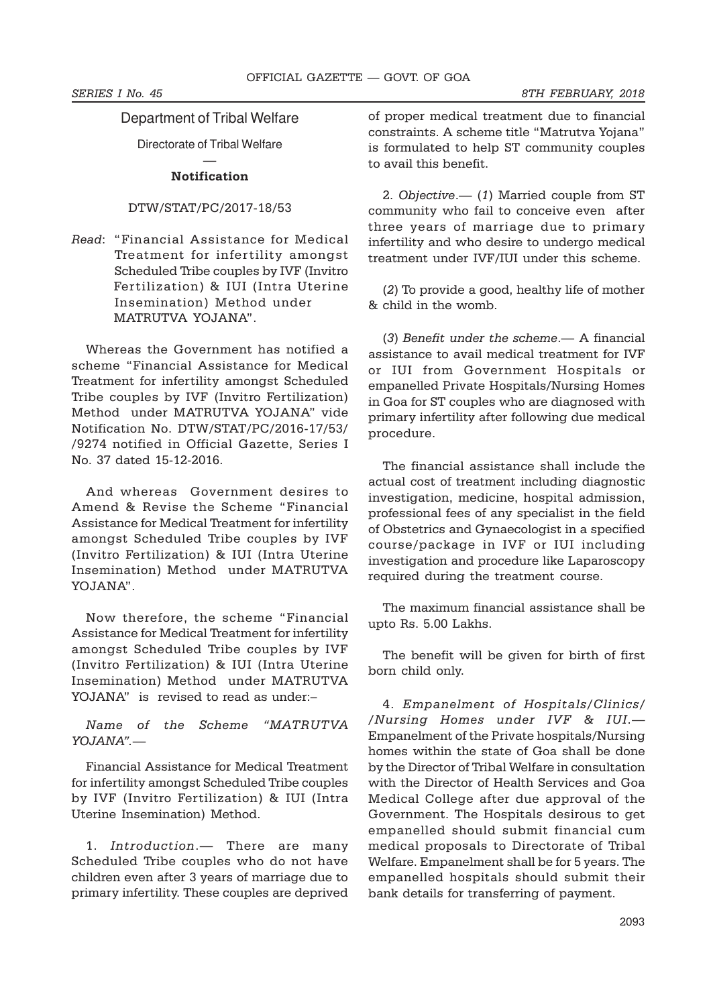# Department of Tribal Welfare

Directorate of Tribal Welfare

# — Notification

# DTW/STAT/PC/2017-18/53

Read: "Financial Assistance for Medical Treatment for infertility amongst Scheduled Tribe couples by IVF (Invitro Fertilization) & IUI (Intra Uterine Insemination) Method under MATRUTVA YOJANA".

Whereas the Government has notified a scheme "Financial Assistance for Medical Treatment for infertility amongst Scheduled Tribe couples by IVF (Invitro Fertilization) Method under MATRUTVA YOJANA" vide Notification No. DTW/STAT/PC/2016-17/53/ /9274 notified in Official Gazette, Series I No. 37 dated 15-12-2016.

And whereas Government desires to Amend & Revise the Scheme "Financial Assistance for Medical Treatment for infertility amongst Scheduled Tribe couples by IVF (Invitro Fertilization) & IUI (Intra Uterine Insemination) Method under MATRUTVA YOJANA".

Now therefore, the scheme "Financial Assistance for Medical Treatment for infertility amongst Scheduled Tribe couples by IVF (Invitro Fertilization) & IUI (Intra Uterine Insemination) Method under MATRUTVA YOJANA" is revised to read as under:–

# Name of the Scheme "MATRUTVA  $YO.IANA''$  —

Financial Assistance for Medical Treatment for infertility amongst Scheduled Tribe couples by IVF (Invitro Fertilization) & IUI (Intra Uterine Insemination) Method.

1. Introduction.— There are many Scheduled Tribe couples who do not have children even after 3 years of marriage due to primary infertility. These couples are deprived

of proper medical treatment due to financial constraints. A scheme title "Matrutva Yojana" is formulated to help ST community couples to avail this benefit.

2. Objective.— (1) Married couple from ST community who fail to conceive even after three years of marriage due to primary infertility and who desire to undergo medical treatment under IVF/IUI under this scheme.

(2) To provide a good, healthy life of mother & child in the womb.

(3) Benefit under the scheme.— A financial assistance to avail medical treatment for IVF or IUI from Government Hospitals or empanelled Private Hospitals/Nursing Homes in Goa for ST couples who are diagnosed with primary infertility after following due medical procedure.

The financial assistance shall include the actual cost of treatment including diagnostic investigation, medicine, hospital admission, professional fees of any specialist in the field of Obstetrics and Gynaecologist in a specified course/package in IVF or IUI including investigation and procedure like Laparoscopy required during the treatment course.

The maximum financial assistance shall be upto Rs. 5.00 Lakhs.

The benefit will be given for birth of first born child only.

4. Empanelment of Hospitals/Clinics/ /Nursing Homes under IVF & IUI.— Empanelment of the Private hospitals/Nursing homes within the state of Goa shall be done by the Director of Tribal Welfare in consultation with the Director of Health Services and Goa Medical College after due approval of the Government. The Hospitals desirous to get empanelled should submit financial cum medical proposals to Directorate of Tribal Welfare. Empanelment shall be for 5 years. The empanelled hospitals should submit their bank details for transferring of payment.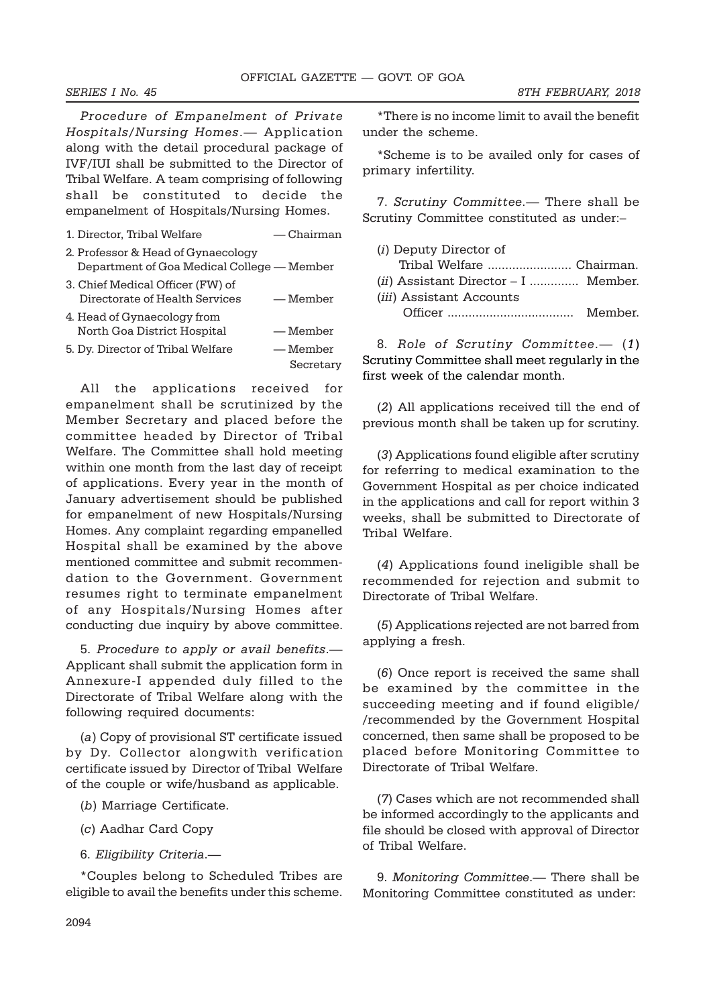Procedure of Empanelment of Private Hospitals/Nursing Homes.— Application along with the detail procedural package of IVF/IUI shall be submitted to the Director of Tribal Welfare. A team comprising of following shall be constituted to decide the empanelment of Hospitals/Nursing Homes.

| 1. Director, Tribal Welfare                                                      | — Chairman            |
|----------------------------------------------------------------------------------|-----------------------|
| 2. Professor & Head of Gynaecology<br>Department of Goa Medical College — Member |                       |
| 3. Chief Medical Officer (FW) of<br>Directorate of Health Services               | — Member              |
| 4. Head of Gynaecology from<br>North Goa District Hospital                       | — Member              |
| 5. Dy. Director of Tribal Welfare                                                | — Member<br>Secretary |

All the applications received for empanelment shall be scrutinized by the Member Secretary and placed before the committee headed by Director of Tribal Welfare. The Committee shall hold meeting within one month from the last day of receipt of applications. Every year in the month of January advertisement should be published for empanelment of new Hospitals/Nursing Homes. Any complaint regarding empanelled Hospital shall be examined by the above mentioned committee and submit recommendation to the Government. Government resumes right to terminate empanelment of any Hospitals/Nursing Homes after conducting due inquiry by above committee.

5. Procedure to apply or avail benefits.— Applicant shall submit the application form in Annexure-I appended duly filled to the Directorate of Tribal Welfare along with the following required documents:

(a) Copy of provisional ST certificate issued by Dy. Collector alongwith verification certificate issued by Director of Tribal Welfare of the couple or wife/husband as applicable.

(b) Marriage Certificate.

(c) Aadhar Card Copy

6. Eligibility Criteria.—

\*Couples belong to Scheduled Tribes are eligible to avail the benefits under this scheme.

\*There is no income limit to avail the benefit under the scheme.

\*Scheme is to be availed only for cases of primary infertility.

7. Scrutiny Committee.— There shall be Scrutiny Committee constituted as under:–

| ( <i>i</i> ) Deputy Director of        |        |
|----------------------------------------|--------|
| Tribal Welfare  Chairman.              |        |
| $(ii)$ Assistant Director – I  Member. |        |
| <i>(iii)</i> Assistant Accounts        |        |
|                                        | Member |
|                                        |        |

8. Role of Scrutiny Committee.— (1) Scrutiny Committee shall meet regularly in the first week of the calendar month.

(2) All applications received till the end of previous month shall be taken up for scrutiny.

(3) Applications found eligible after scrutiny for referring to medical examination to the Government Hospital as per choice indicated in the applications and call for report within 3 weeks, shall be submitted to Directorate of Tribal Welfare.

(4) Applications found ineligible shall be recommended for rejection and submit to Directorate of Tribal Welfare.

(5) Applications rejected are not barred from applying a fresh.

(6) Once report is received the same shall be examined by the committee in the succeeding meeting and if found eligible/ /recommended by the Government Hospital concerned, then same shall be proposed to be placed before Monitoring Committee to Directorate of Tribal Welfare.

(7) Cases which are not recommended shall be informed accordingly to the applicants and file should be closed with approval of Director of Tribal Welfare.

9. Monitoring Committee.— There shall be Monitoring Committee constituted as under: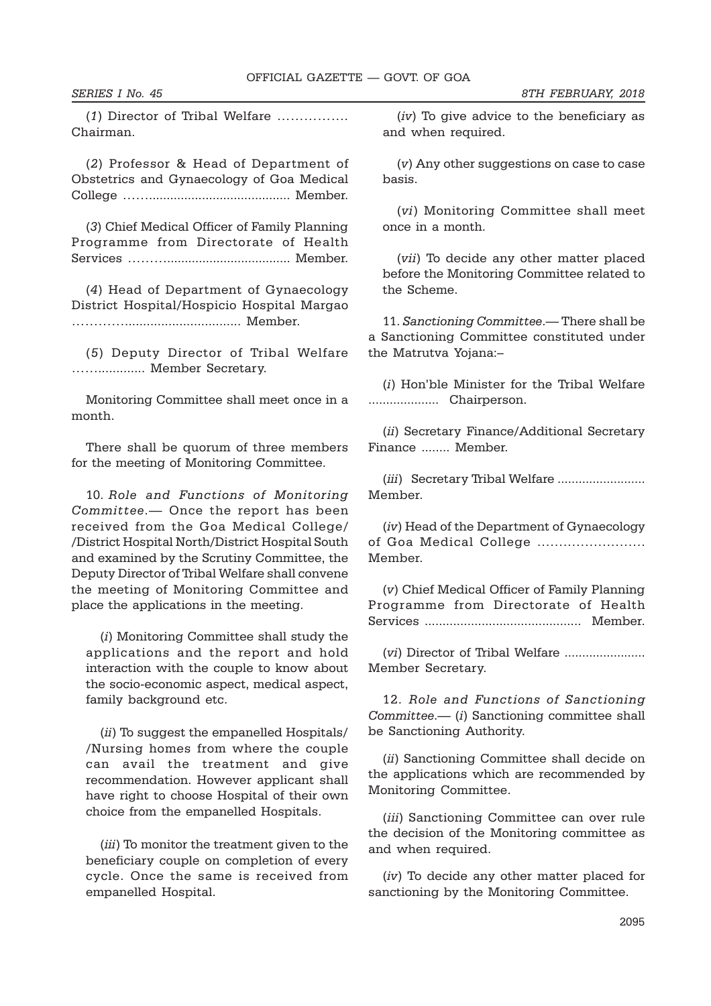(1) Director of Tribal Welfare ……………. Chairman.

(2) Professor & Head of Department of Obstetrics and Gynaecology of Goa Medical College ……........................................ Member.

(3) Chief Medical Officer of Family Planning Programme from Directorate of Health Services ………................................... Member.

(4) Head of Department of Gynaecology District Hospital/Hospicio Hospital Margao ……………………………………… Member.

(5) Deputy Director of Tribal Welfare ……............. Member Secretary.

Monitoring Committee shall meet once in a month.

There shall be quorum of three members for the meeting of Monitoring Committee.

10. Role and Functions of Monitoring Committee.— Once the report has been received from the Goa Medical College/ /District Hospital North/District Hospital South and examined by the Scrutiny Committee, the Deputy Director of Tribal Welfare shall convene the meeting of Monitoring Committee and place the applications in the meeting.

(i) Monitoring Committee shall study the applications and the report and hold interaction with the couple to know about the socio-economic aspect, medical aspect, family background etc.

(ii) To suggest the empanelled Hospitals/ /Nursing homes from where the couple can avail the treatment and give recommendation. However applicant shall have right to choose Hospital of their own choice from the empanelled Hospitals.

(*iii*) To monitor the treatment given to the beneficiary couple on completion of every cycle. Once the same is received from empanelled Hospital.

(iv) To give advice to the beneficiary as and when required.

(v) Any other suggestions on case to case basis.

(vi) Monitoring Committee shall meet once in a month.

(vii) To decide any other matter placed before the Monitoring Committee related to the Scheme.

11. Sanctioning Committee.— There shall be a Sanctioning Committee constituted under the Matrutva Yojana:–

(i) Hon'ble Minister for the Tribal Welfare .................... Chairperson.

(ii) Secretary Finance/Additional Secretary Finance ........ Member.

(iii) Secretary Tribal Welfare ......................... Member.

(iv) Head of the Department of Gynaecology of Goa Medical College ........................ Member.

(v) Chief Medical Officer of Family Planning Programme from Directorate of Health Services ............................................ Member.

(vi) Director of Tribal Welfare ....................... Member Secretary.

12. Role and Functions of Sanctioning Committee.— (i) Sanctioning committee shall be Sanctioning Authority.

(ii) Sanctioning Committee shall decide on the applications which are recommended by Monitoring Committee.

(iii) Sanctioning Committee can over rule the decision of the Monitoring committee as and when required.

(iv) To decide any other matter placed for sanctioning by the Monitoring Committee.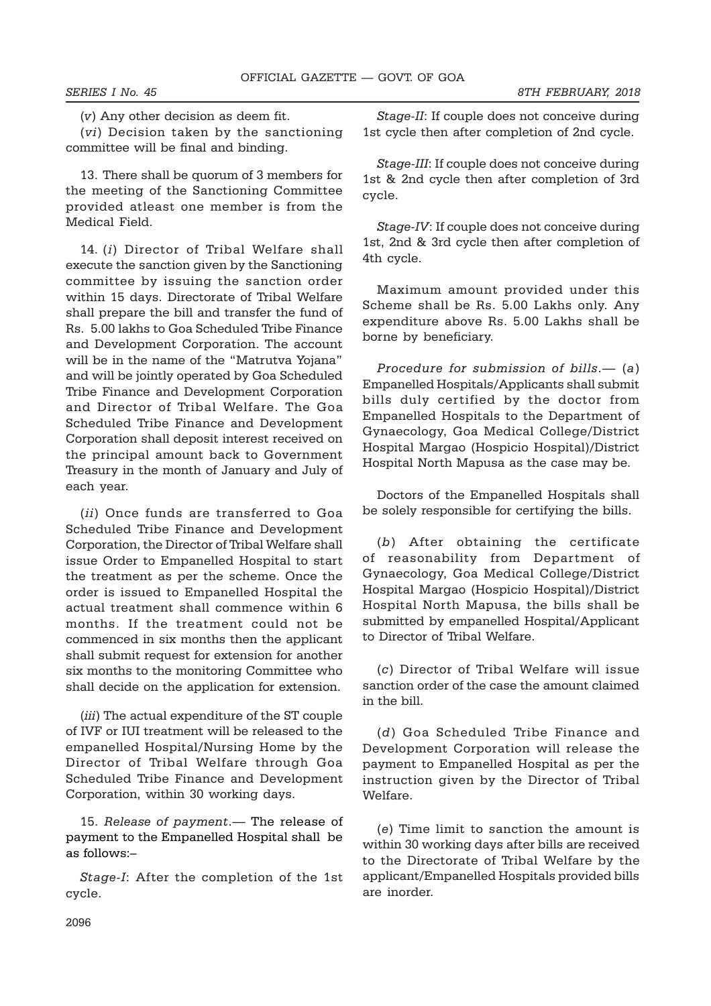(v) Any other decision as deem fit.

(vi) Decision taken by the sanctioning committee will be final and binding.

13. There shall be quorum of 3 members for the meeting of the Sanctioning Committee provided atleast one member is from the Medical Field.

14. (i) Director of Tribal Welfare shall execute the sanction given by the Sanctioning committee by issuing the sanction order within 15 days. Directorate of Tribal Welfare shall prepare the bill and transfer the fund of Rs. 5.00 lakhs to Goa Scheduled Tribe Finance and Development Corporation. The account will be in the name of the "Matrutva Yojana" and will be jointly operated by Goa Scheduled Tribe Finance and Development Corporation and Director of Tribal Welfare. The Goa Scheduled Tribe Finance and Development Corporation shall deposit interest received on the principal amount back to Government Treasury in the month of January and July of each year.

(ii) Once funds are transferred to Goa Scheduled Tribe Finance and Development Corporation, the Director of Tribal Welfare shall issue Order to Empanelled Hospital to start the treatment as per the scheme. Once the order is issued to Empanelled Hospital the actual treatment shall commence within 6 months. If the treatment could not be commenced in six months then the applicant shall submit request for extension for another six months to the monitoring Committee who shall decide on the application for extension.

(*iii*) The actual expenditure of the ST couple of IVF or IUI treatment will be released to the empanelled Hospital/Nursing Home by the Director of Tribal Welfare through Goa Scheduled Tribe Finance and Development Corporation, within 30 working days.

15. Release of payment.— The release of payment to the Empanelled Hospital shall be as follows:–

Stage-I: After the completion of the 1st cycle.

Stage-II: If couple does not conceive during 1st cycle then after completion of 2nd cycle.

Stage-III: If couple does not conceive during 1st & 2nd cycle then after completion of 3rd cycle.

Stage-IV: If couple does not conceive during 1st, 2nd & 3rd cycle then after completion of 4th cycle.

Maximum amount provided under this Scheme shall be Rs. 5.00 Lakhs only. Any expenditure above Rs. 5.00 Lakhs shall be borne by beneficiary.

Procedure for submission of bills.— (a) Empanelled Hospitals/Applicants shall submit bills duly certified by the doctor from Empanelled Hospitals to the Department of Gynaecology, Goa Medical College/District Hospital Margao (Hospicio Hospital)/District Hospital North Mapusa as the case may be.

Doctors of the Empanelled Hospitals shall be solely responsible for certifying the bills.

(b) After obtaining the certificate of reasonability from Department of Gynaecology, Goa Medical College/District Hospital Margao (Hospicio Hospital)/District Hospital North Mapusa, the bills shall be submitted by empanelled Hospital/Applicant to Director of Tribal Welfare.

(c) Director of Tribal Welfare will issue sanction order of the case the amount claimed in the bill.

(d) Goa Scheduled Tribe Finance and Development Corporation will release the payment to Empanelled Hospital as per the instruction given by the Director of Tribal Welfare.

(e) Time limit to sanction the amount is within 30 working days after bills are received to the Directorate of Tribal Welfare by the applicant/Empanelled Hospitals provided bills are inorder.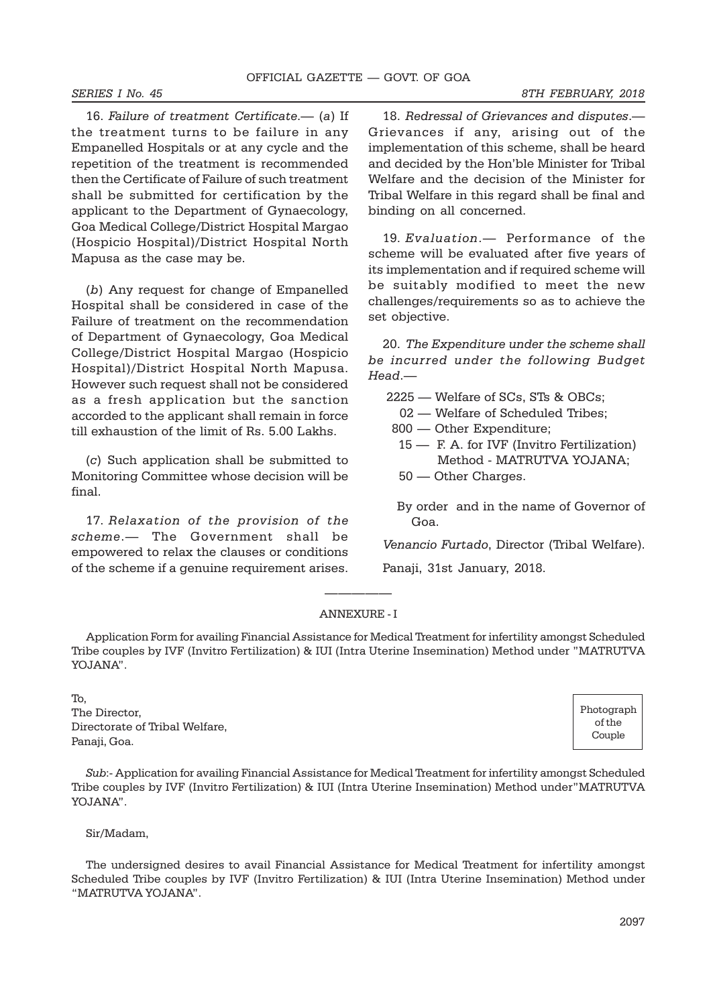16. Failure of treatment Certificate.— (a) If the treatment turns to be failure in any Empanelled Hospitals or at any cycle and the repetition of the treatment is recommended then the Certificate of Failure of such treatment shall be submitted for certification by the applicant to the Department of Gynaecology, Goa Medical College/District Hospital Margao (Hospicio Hospital)/District Hospital North Mapusa as the case may be.

(b) Any request for change of Empanelled Hospital shall be considered in case of the Failure of treatment on the recommendation of Department of Gynaecology, Goa Medical College/District Hospital Margao (Hospicio Hospital)/District Hospital North Mapusa. However such request shall not be considered as a fresh application but the sanction accorded to the applicant shall remain in force till exhaustion of the limit of Rs. 5.00 Lakhs.

(c) Such application shall be submitted to Monitoring Committee whose decision will be final.

17. Relaxation of the provision of the scheme.— The Government shall be empowered to relax the clauses or conditions of the scheme if a genuine requirement arises.

18. Redressal of Grievances and disputes.— Grievances if any, arising out of the implementation of this scheme, shall be heard and decided by the Hon'ble Minister for Tribal Welfare and the decision of the Minister for Tribal Welfare in this regard shall be final and binding on all concerned.

19. Evaluation.— Performance of the scheme will be evaluated after five years of its implementation and if required scheme will be suitably modified to meet the new challenges/requirements so as to achieve the set objective.

20. The Expenditure under the scheme shall be incurred under the following Budget Head.—

2225 — Welfare of SCs, STs & OBCs;

- 02 Welfare of Scheduled Tribes;
- 800 Other Expenditure;
- 15 F. A. for IVF (Invitro Fertilization) Method - MATRUTVA YOJANA;
- 50 Other Charges.
- By order and in the name of Governor of Goa.

Venancio Furtado, Director (Tribal Welfare).

Panaji, 31st January, 2018.

# ————— ANNEXURE - I

Application Form for availing Financial Assistance for Medical Treatment for infertility amongst Scheduled Tribe couples by IVF (Invitro Fertilization) & IUI (Intra Uterine Insemination) Method under "MATRUTVA YOJANA".

To, The Director, Directorate of Tribal Welfare, Panaji, Goa.

Sub:- Application for availing Financial Assistance for Medical Treatment for infertility amongst Scheduled Tribe couples by IVF (Invitro Fertilization) & IUI (Intra Uterine Insemination) Method under"MATRUTVA YOJANA".

Sir/Madam,

The undersigned desires to avail Financial Assistance for Medical Treatment for infertility amongst Scheduled Tribe couples by IVF (Invitro Fertilization) & IUI (Intra Uterine Insemination) Method under "MATRUTVA YOJANA".

Photograph of the Couple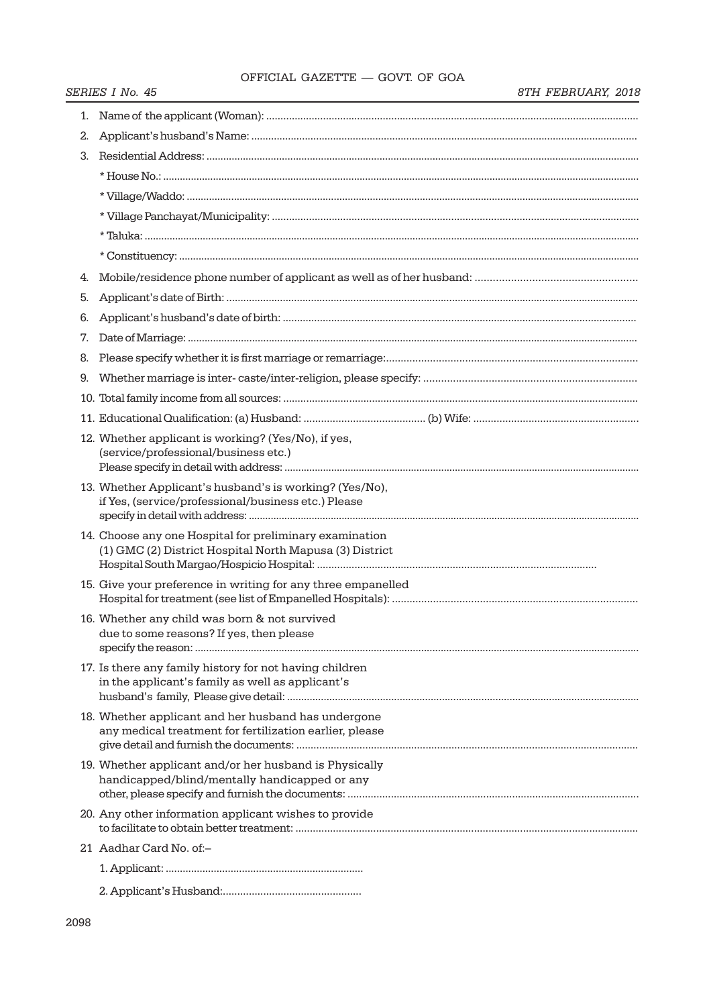# OFFICIAL GAZETTE — GOVT. OF GOA

|  | 8TH FEBRUARY, 2018 |  |
|--|--------------------|--|
|--|--------------------|--|

|    | SERIES I No. 45                                                                                                    | 8TH FEBRUARY, 2018 |
|----|--------------------------------------------------------------------------------------------------------------------|--------------------|
| 1. |                                                                                                                    |                    |
| 2. |                                                                                                                    |                    |
| З. |                                                                                                                    |                    |
|    |                                                                                                                    |                    |
|    |                                                                                                                    |                    |
|    |                                                                                                                    |                    |
|    |                                                                                                                    |                    |
|    |                                                                                                                    |                    |
| 4. |                                                                                                                    |                    |
| 5. |                                                                                                                    |                    |
| 6. |                                                                                                                    |                    |
| 7. |                                                                                                                    |                    |
| 8. |                                                                                                                    |                    |
| 9. |                                                                                                                    |                    |
|    |                                                                                                                    |                    |
|    |                                                                                                                    |                    |
|    | 12. Whether applicant is working? (Yes/No), if yes,<br>(service/professional/business etc.)                        |                    |
|    | 13. Whether Applicant's husband's is working? (Yes/No),<br>if Yes, (service/professional/business etc.) Please     |                    |
|    | 14. Choose any one Hospital for preliminary examination<br>(1) GMC (2) District Hospital North Mapusa (3) District |                    |
|    | 15. Give your preference in writing for any three empanelled                                                       |                    |
|    | 16. Whether any child was born & not survived<br>due to some reasons? If yes, then please                          |                    |
|    | 17. Is there any family history for not having children<br>in the applicant's family as well as applicant's        |                    |
|    | 18. Whether applicant and her husband has undergone<br>any medical treatment for fertilization earlier, please     |                    |
|    | 19. Whether applicant and/or her husband is Physically<br>handicapped/blind/mentally handicapped or any            |                    |
|    | 20. Any other information applicant wishes to provide                                                              |                    |
|    | 21 Aadhar Card No. of:–                                                                                            |                    |
|    |                                                                                                                    |                    |
|    |                                                                                                                    |                    |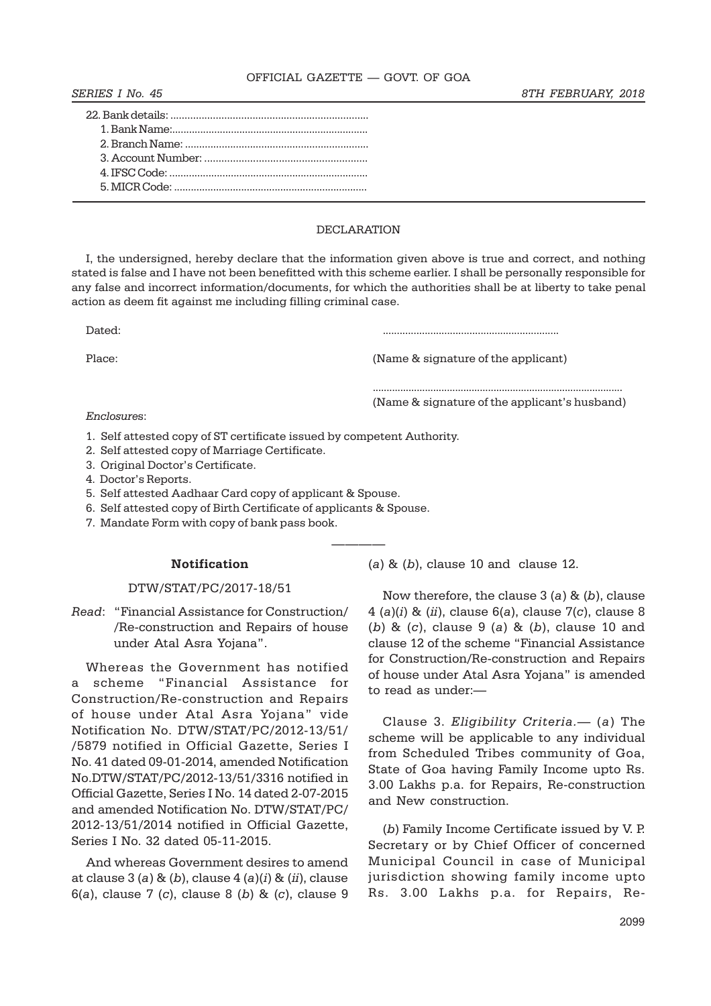#### OFFICIAL GAZETTE — GOVT. OF GOA

# DECLARATION

I, the undersigned, hereby declare that the information given above is true and correct, and nothing stated is false and I have not been benefitted with this scheme earlier. I shall be personally responsible for any false and incorrect information/documents, for which the authorities shall be at liberty to take penal action as deem fit against me including filling criminal case.

————

Dated: ...............................................................

Place:  $(Name & signature of the application)$ 

(a)  $\&$  (b), clause 10 and clause 12.

........................................................................................... (Name & signature of the applicant's husband)

Enclosures:

- 1. Self attested copy of ST certificate issued by competent Authority.
- 2. Self attested copy of Marriage Certificate.
- 3. Original Doctor's Certificate.
- 4. Doctor's Reports.
- 5. Self attested Aadhaar Card copy of applicant & Spouse.
- 6. Self attested copy of Birth Certificate of applicants & Spouse.
- 7. Mandate Form with copy of bank pass book.

# Notification

# DTW/STAT/PC/2017-18/51

Read: "Financial Assistance for Construction/ /Re-construction and Repairs of house under Atal Asra Yojana".

Whereas the Government has notified a scheme "Financial Assistance for Construction/Re-construction and Repairs of house under Atal Asra Yojana" vide Notification No. DTW/STAT/PC/2012-13/51/ /5879 notified in Official Gazette, Series I No. 41 dated 09-01-2014, amended Notification No.DTW/STAT/PC/2012-13/51/3316 notified in Official Gazette, Series I No. 14 dated 2-07-2015 and amended Notification No. DTW/STAT/PC/ 2012-13/51/2014 notified in Official Gazette, Series I No. 32 dated 05-11-2015.

And whereas Government desires to amend at clause  $3(a)$  &  $(b)$ , clause  $4(a)(i)$  &  $(ii)$ , clause 6(a), clause 7 (c), clause 8 (b) & (c), clause 9

Now therefore, the clause  $3(a)$  &  $(b)$ , clause  $4(a)(i)$  &  $(ii)$ , clause 6(a), clause 7(c), clause 8 (b) &  $(c)$ , clause 9 (a) &  $(b)$ , clause 10 and clause 12 of the scheme "Financial Assistance for Construction/Re-construction and Repairs of house under Atal Asra Yojana" is amended to read as under:—

Clause 3. Eligibility Criteria.— (a) The scheme will be applicable to any individual from Scheduled Tribes community of Goa, State of Goa having Family Income upto Rs. 3.00 Lakhs p.a. for Repairs, Re-construction and New construction.

(b) Family Income Certificate issued by V. P. Secretary or by Chief Officer of concerned Municipal Council in case of Municipal jurisdiction showing family income upto Rs. 3.00 Lakhs p.a. for Repairs, Re-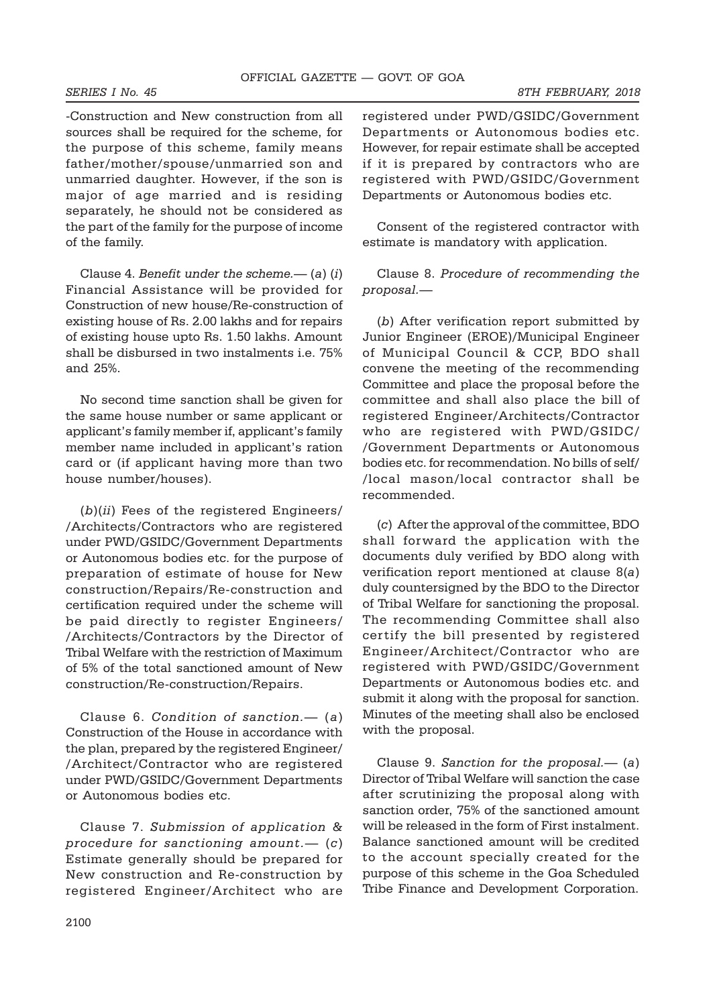-Construction and New construction from all sources shall be required for the scheme, for the purpose of this scheme, family means father/mother/spouse/unmarried son and unmarried daughter. However, if the son is major of age married and is residing separately, he should not be considered as the part of the family for the purpose of income of the family.

Clause 4. Benefit under the scheme.—  $(a)$   $(i)$ Financial Assistance will be provided for Construction of new house/Re-construction of existing house of Rs. 2.00 lakhs and for repairs of existing house upto Rs. 1.50 lakhs. Amount shall be disbursed in two instalments i.e. 75% and 25%.

No second time sanction shall be given for the same house number or same applicant or applicant's family member if, applicant's family member name included in applicant's ration card or (if applicant having more than two house number/houses).

(b)(ii) Fees of the registered Engineers/ /Architects/Contractors who are registered under PWD/GSIDC/Government Departments or Autonomous bodies etc. for the purpose of preparation of estimate of house for New construction/Repairs/Re-construction and certification required under the scheme will be paid directly to register Engineers/ /Architects/Contractors by the Director of Tribal Welfare with the restriction of Maximum of 5% of the total sanctioned amount of New construction/Re-construction/Repairs.

Clause 6. Condition of sanction. $-$  (a) Construction of the House in accordance with the plan, prepared by the registered Engineer/ /Architect/Contractor who are registered under PWD/GSIDC/Government Departments or Autonomous bodies etc.

Clause 7. Submission of application & procedure for sanctioning amount. $-$  (c) Estimate generally should be prepared for New construction and Re-construction by registered Engineer/Architect who are

registered under PWD/GSIDC/Government Departments or Autonomous bodies etc. However, for repair estimate shall be accepted if it is prepared by contractors who are registered with PWD/GSIDC/Government Departments or Autonomous bodies etc.

Consent of the registered contractor with estimate is mandatory with application.

Clause 8. Procedure of recommending the proposal.—

(b) After verification report submitted by Junior Engineer (EROE)/Municipal Engineer of Municipal Council & CCP, BDO shall convene the meeting of the recommending Committee and place the proposal before the committee and shall also place the bill of registered Engineer/Architects/Contractor who are registered with PWD/GSIDC/ /Government Departments or Autonomous bodies etc. for recommendation. No bills of self/ /local mason/local contractor shall be recommended.

(c) After the approval of the committee, BDO shall forward the application with the documents duly verified by BDO along with verification report mentioned at clause 8(a) duly countersigned by the BDO to the Director of Tribal Welfare for sanctioning the proposal. The recommending Committee shall also certify the bill presented by registered Engineer/Architect/Contractor who are registered with PWD/GSIDC/Government Departments or Autonomous bodies etc. and submit it along with the proposal for sanction. Minutes of the meeting shall also be enclosed with the proposal.

Clause 9. Sanction for the proposal.—  $(a)$ Director of Tribal Welfare will sanction the case after scrutinizing the proposal along with sanction order, 75% of the sanctioned amount will be released in the form of First instalment. Balance sanctioned amount will be credited to the account specially created for the purpose of this scheme in the Goa Scheduled Tribe Finance and Development Corporation.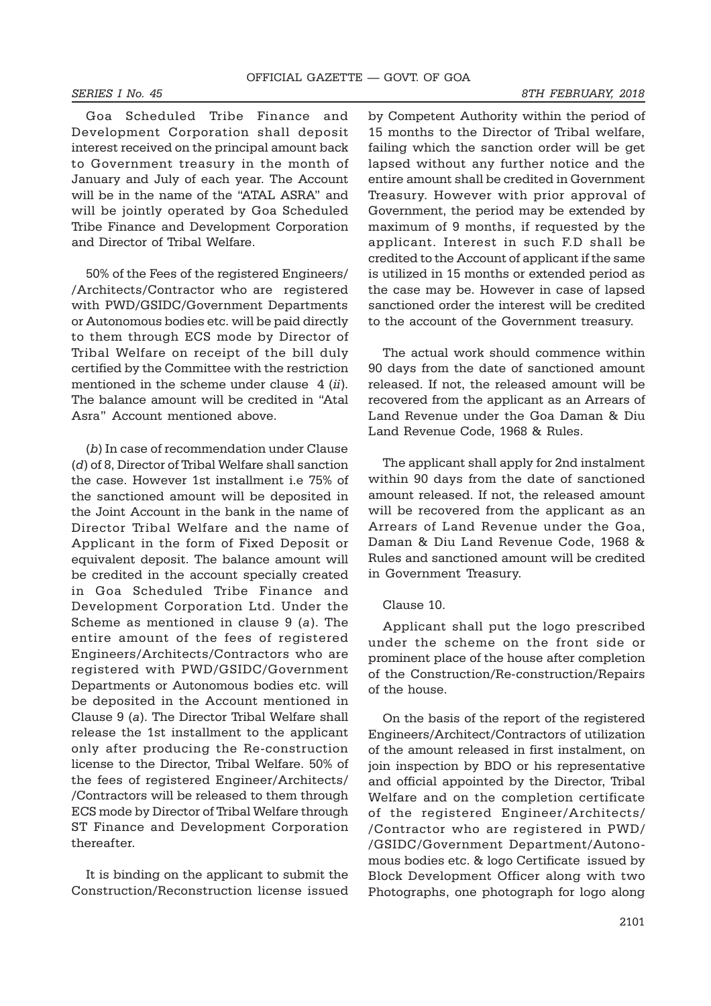Goa Scheduled Tribe Finance and Development Corporation shall deposit interest received on the principal amount back to Government treasury in the month of January and July of each year. The Account will be in the name of the "ATAL ASRA" and will be jointly operated by Goa Scheduled Tribe Finance and Development Corporation and Director of Tribal Welfare.

50% of the Fees of the registered Engineers/ /Architects/Contractor who are registered with PWD/GSIDC/Government Departments or Autonomous bodies etc. will be paid directly to them through ECS mode by Director of Tribal Welfare on receipt of the bill duly certified by the Committee with the restriction mentioned in the scheme under clause 4 (ii). The balance amount will be credited in "Atal Asra" Account mentioned above.

(b) In case of recommendation under Clause (d) of 8, Director of Tribal Welfare shall sanction the case. However 1st installment i.e 75% of the sanctioned amount will be deposited in the Joint Account in the bank in the name of Director Tribal Welfare and the name of Applicant in the form of Fixed Deposit or equivalent deposit. The balance amount will be credited in the account specially created in Goa Scheduled Tribe Finance and Development Corporation Ltd. Under the Scheme as mentioned in clause 9 (a). The entire amount of the fees of registered Engineers/Architects/Contractors who are registered with PWD/GSIDC/Government Departments or Autonomous bodies etc. will be deposited in the Account mentioned in Clause 9 (a). The Director Tribal Welfare shall release the 1st installment to the applicant only after producing the Re-construction license to the Director, Tribal Welfare. 50% of the fees of registered Engineer/Architects/ /Contractors will be released to them through ECS mode by Director of Tribal Welfare through ST Finance and Development Corporation thereafter.

It is binding on the applicant to submit the Construction/Reconstruction license issued by Competent Authority within the period of 15 months to the Director of Tribal welfare, failing which the sanction order will be get lapsed without any further notice and the entire amount shall be credited in Government Treasury. However with prior approval of Government, the period may be extended by maximum of 9 months, if requested by the applicant. Interest in such F.D shall be credited to the Account of applicant if the same is utilized in 15 months or extended period as the case may be. However in case of lapsed sanctioned order the interest will be credited to the account of the Government treasury.

The actual work should commence within 90 days from the date of sanctioned amount released. If not, the released amount will be recovered from the applicant as an Arrears of Land Revenue under the Goa Daman & Diu Land Revenue Code, 1968 & Rules.

The applicant shall apply for 2nd instalment within 90 days from the date of sanctioned amount released. If not, the released amount will be recovered from the applicant as an Arrears of Land Revenue under the Goa, Daman & Diu Land Revenue Code, 1968 & Rules and sanctioned amount will be credited in Government Treasury.

## Clause 10.

Applicant shall put the logo prescribed under the scheme on the front side or prominent place of the house after completion of the Construction/Re-construction/Repairs of the house.

On the basis of the report of the registered Engineers/Architect/Contractors of utilization of the amount released in first instalment, on join inspection by BDO or his representative and official appointed by the Director, Tribal Welfare and on the completion certificate of the registered Engineer/Architects/ /Contractor who are registered in PWD/ /GSIDC/Government Department/Autonomous bodies etc. & logo Certificate issued by Block Development Officer along with two Photographs, one photograph for logo along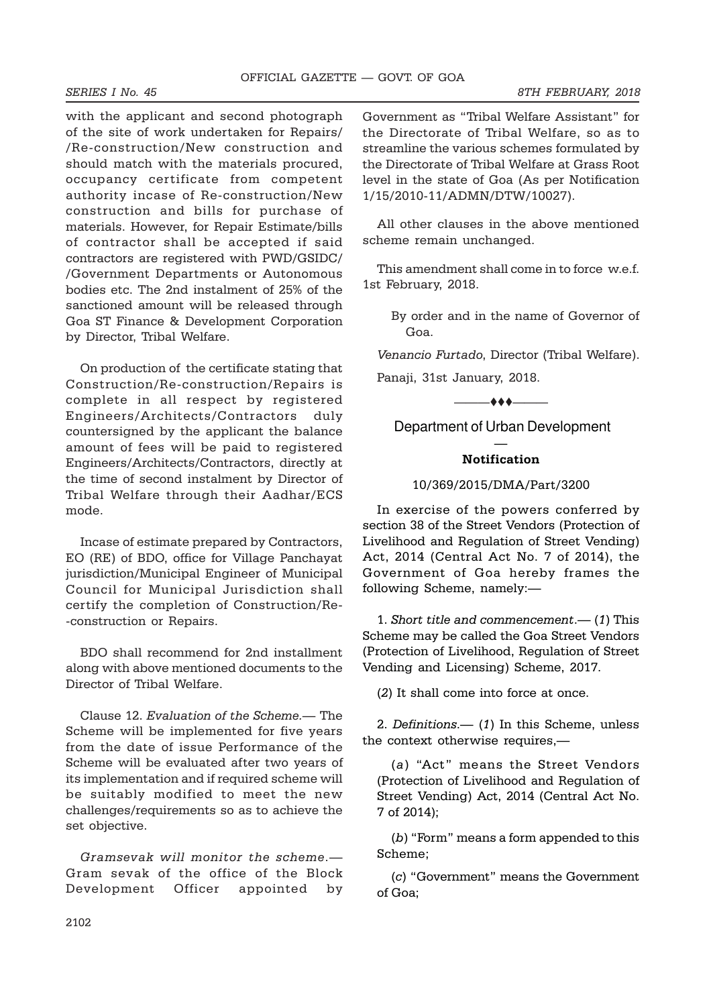with the applicant and second photograph of the site of work undertaken for Repairs/ /Re-construction/New construction and should match with the materials procured, occupancy certificate from competent authority incase of Re-construction/New construction and bills for purchase of materials. However, for Repair Estimate/bills of contractor shall be accepted if said contractors are registered with PWD/GSIDC/ /Government Departments or Autonomous bodies etc. The 2nd instalment of 25% of the sanctioned amount will be released through Goa ST Finance & Development Corporation by Director, Tribal Welfare.

On production of the certificate stating that Construction/Re-construction/Repairs is complete in all respect by registered Engineers/Architects/Contractors duly countersigned by the applicant the balance amount of fees will be paid to registered Engineers/Architects/Contractors, directly at the time of second instalment by Director of Tribal Welfare through their Aadhar/ECS mode.

Incase of estimate prepared by Contractors, EO (RE) of BDO, office for Village Panchayat jurisdiction/Municipal Engineer of Municipal Council for Municipal Jurisdiction shall certify the completion of Construction/Re- -construction or Repairs.

BDO shall recommend for 2nd installment along with above mentioned documents to the Director of Tribal Welfare.

Clause 12. Evaluation of the Scheme.— The Scheme will be implemented for five years from the date of issue Performance of the Scheme will be evaluated after two years of its implementation and if required scheme will be suitably modified to meet the new challenges/requirements so as to achieve the set objective.

Gramsevak will monitor the scheme.— Gram sevak of the office of the Block Development Officer appointed by Government as "Tribal Welfare Assistant" for the Directorate of Tribal Welfare, so as to streamline the various schemes formulated by the Directorate of Tribal Welfare at Grass Root level in the state of Goa (As per Notification 1/15/2010-11/ADMN/DTW/10027).

All other clauses in the above mentioned scheme remain unchanged.

This amendment shall come in to force w.e.f. 1st February, 2018.

> By order and in the name of Governor of Goa.

Venancio Furtado, Director (Tribal Welfare). Panaji, 31st January, 2018.

Department of Urban Development

 $-$  + +  $-$ 

# — Notification

# 10/369/2015/DMA/Part/3200

In exercise of the powers conferred by section 38 of the Street Vendors (Protection of Livelihood and Regulation of Street Vending) Act, 2014 (Central Act No. 7 of 2014), the Government of Goa hereby frames the following Scheme, namely:—

1. Short title and commencement.— (1) This Scheme may be called the Goa Street Vendors (Protection of Livelihood, Regulation of Street Vending and Licensing) Scheme, 2017.

(2) It shall come into force at once.

2. Definitions.— (1) In this Scheme, unless the context otherwise requires,—

(a) "Act" means the Street Vendors (Protection of Livelihood and Regulation of Street Vending) Act, 2014 (Central Act No. 7 of 2014);

(b) "Form" means a form appended to this Scheme;

(c) "Government" means the Government of Goa;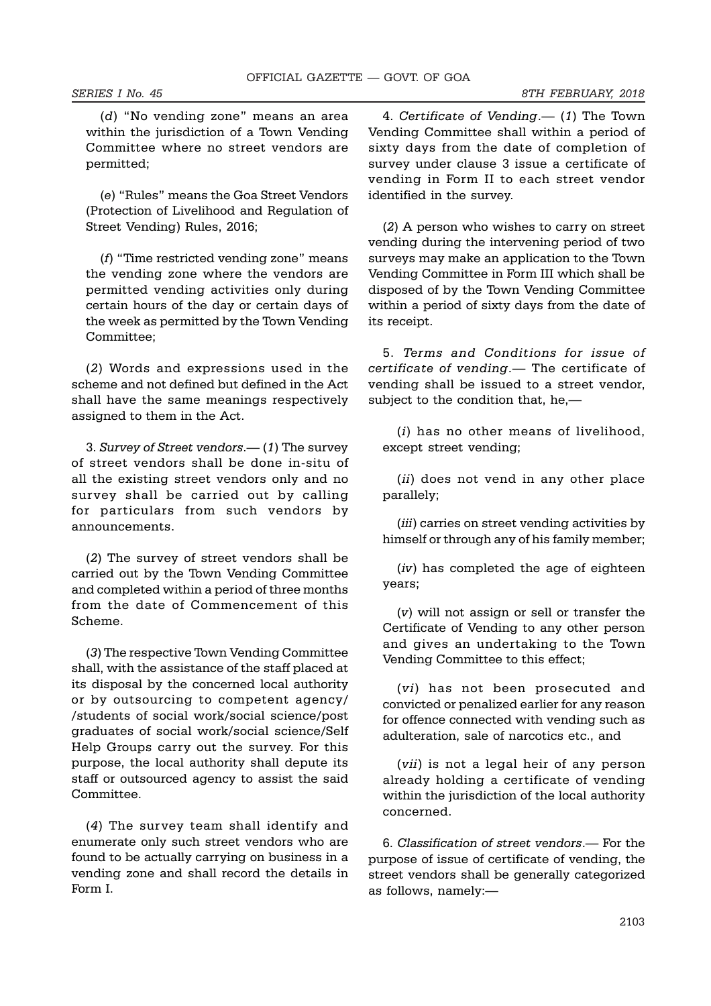(d) "No vending zone" means an area within the jurisdiction of a Town Vending Committee where no street vendors are permitted;

(e) "Rules" means the Goa Street Vendors (Protection of Livelihood and Regulation of Street Vending) Rules, 2016;

(f) "Time restricted vending zone" means the vending zone where the vendors are permitted vending activities only during certain hours of the day or certain days of the week as permitted by the Town Vending Committee;

(2) Words and expressions used in the scheme and not defined but defined in the Act shall have the same meanings respectively assigned to them in the Act.

3. Survey of Street vendors.— (1) The survey of street vendors shall be done in-situ of all the existing street vendors only and no survey shall be carried out by calling for particulars from such vendors by announcements.

(2) The survey of street vendors shall be carried out by the Town Vending Committee and completed within a period of three months from the date of Commencement of this Scheme.

(3) The respective Town Vending Committee shall, with the assistance of the staff placed at its disposal by the concerned local authority or by outsourcing to competent agency/ /students of social work/social science/post graduates of social work/social science/Self Help Groups carry out the survey. For this purpose, the local authority shall depute its staff or outsourced agency to assist the said Committee.

(4) The survey team shall identify and enumerate only such street vendors who are found to be actually carrying on business in a vending zone and shall record the details in Form I.

4. Certificate of Vending.— (1) The Town Vending Committee shall within a period of sixty days from the date of completion of survey under clause 3 issue a certificate of vending in Form II to each street vendor identified in the survey.

(2) A person who wishes to carry on street vending during the intervening period of two surveys may make an application to the Town Vending Committee in Form III which shall be disposed of by the Town Vending Committee within a period of sixty days from the date of its receipt.

5. Terms and Conditions for issue of certificate of vending.— The certificate of vending shall be issued to a street vendor, subject to the condition that, he,—

(i) has no other means of livelihood, except street vending;

(*ii*) does not vend in any other place parallely;

(iii) carries on street vending activities by himself or through any of his family member;

(iv) has completed the age of eighteen years;

(v) will not assign or sell or transfer the Certificate of Vending to any other person and gives an undertaking to the Town Vending Committee to this effect;

(vi) has not been prosecuted and convicted or penalized earlier for any reason for offence connected with vending such as adulteration, sale of narcotics etc., and

(vii) is not a legal heir of any person already holding a certificate of vending within the jurisdiction of the local authority concerned.

6. Classification of street vendors.— For the purpose of issue of certificate of vending, the street vendors shall be generally categorized as follows, namely:—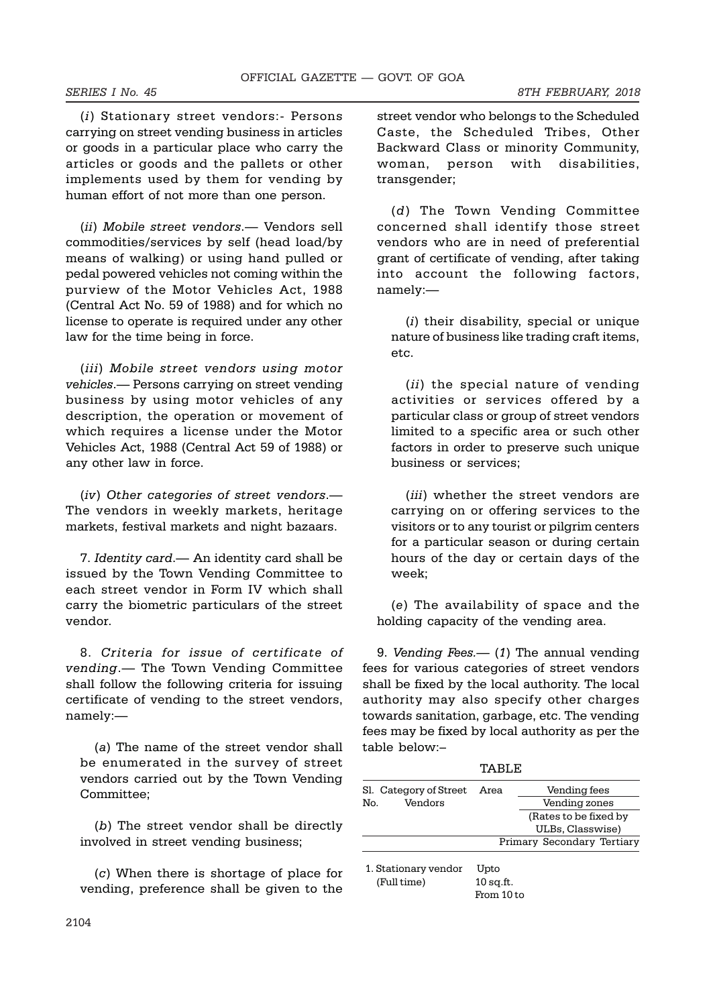(i) Stationary street vendors:- Persons carrying on street vending business in articles or goods in a particular place who carry the articles or goods and the pallets or other implements used by them for vending by human effort of not more than one person.

(ii) Mobile street vendors.— Vendors sell commodities/services by self (head load/by means of walking) or using hand pulled or pedal powered vehicles not coming within the purview of the Motor Vehicles Act, 1988 (Central Act No. 59 of 1988) and for which no license to operate is required under any other law for the time being in force.

(iii) Mobile street vendors using motor vehicles.— Persons carrying on street vending business by using motor vehicles of any description, the operation or movement of which requires a license under the Motor Vehicles Act, 1988 (Central Act 59 of 1988) or any other law in force.

(iv) Other categories of street vendors.— The vendors in weekly markets, heritage markets, festival markets and night bazaars.

7. Identity card.— An identity card shall be issued by the Town Vending Committee to each street vendor in Form IV which shall carry the biometric particulars of the street vendor.

8. Criteria for issue of certificate of vending.— The Town Vending Committee shall follow the following criteria for issuing certificate of vending to the street vendors, namely:—

(a) The name of the street vendor shall be enumerated in the survey of street vendors carried out by the Town Vending Committee;

(b) The street vendor shall be directly involved in street vending business;

(c) When there is shortage of place for vending, preference shall be given to the street vendor who belongs to the Scheduled Caste, the Scheduled Tribes, Other Backward Class or minority Community, woman, person with disabilities, transgender;

(d) The Town Vending Committee concerned shall identify those street vendors who are in need of preferential grant of certificate of vending, after taking into account the following factors, namely:—

(*i*) their disability, special or unique nature of business like trading craft items, etc.

(ii) the special nature of vending activities or services offered by a particular class or group of street vendors limited to a specific area or such other factors in order to preserve such unique business or services;

(*iii*) whether the street vendors are carrying on or offering services to the visitors or to any tourist or pilgrim centers for a particular season or during certain hours of the day or certain days of the week;

(e) The availability of space and the holding capacity of the vending area.

9. Vending Fees.—  $(1)$  The annual vending fees for various categories of street vendors shall be fixed by the local authority. The local authority may also specify other charges towards sanitation, garbage, etc. The vending fees may be fixed by local authority as per the table below:–

TABLE

| Sl. Category of Street | Area        | Vending fees               |  |
|------------------------|-------------|----------------------------|--|
| Vendors<br>No.         |             | Vending zones              |  |
|                        |             | (Rates to be fixed by      |  |
|                        |             | ULBs, Classwise)           |  |
|                        |             | Primary Secondary Tertiary |  |
| 1. Stationary vendor   | Upto        |                            |  |
| (Full time)            | $10$ sq.ft. |                            |  |

From 10 to

2104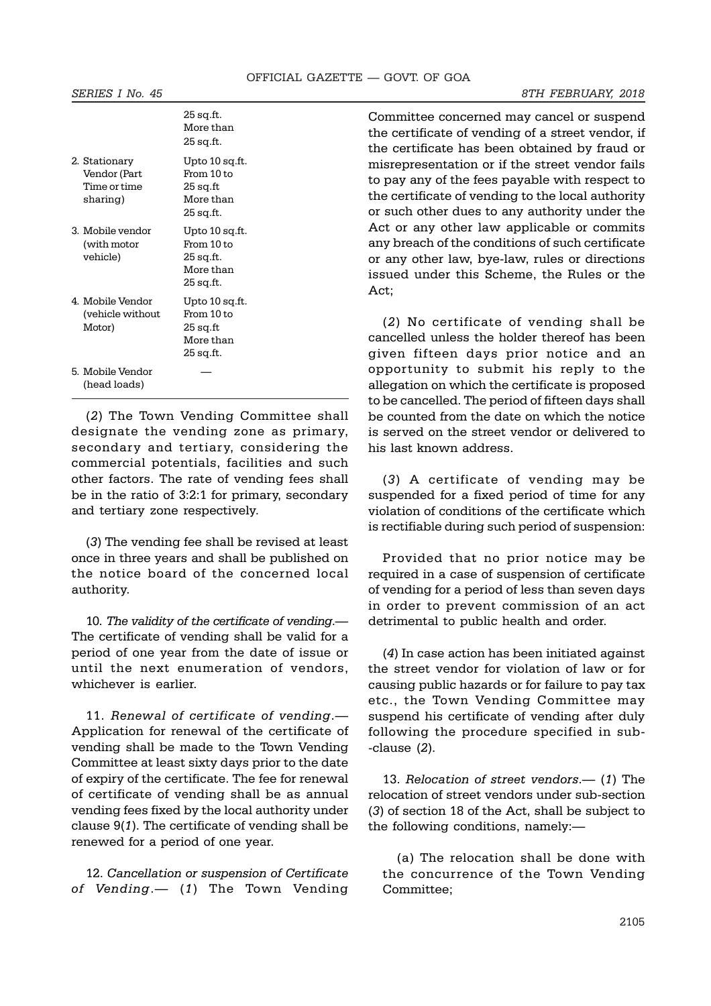|                                                           | 20 SY.IL.<br>More than<br>25 sq.ft.                                 |
|-----------------------------------------------------------|---------------------------------------------------------------------|
| 2. Stationary<br>Vendor (Part<br>Time or time<br>sharing) | Upto 10 sq.ft.<br>From 10 to<br>25 sq.ft<br>More than<br>25 sq.ft.  |
| 3. Mobile vendor<br>(with motor<br>vehicle)               | Upto 10 sq.ft.<br>From 10 to<br>25 sq.ft.<br>More than<br>25 sq.ft. |
| 4. Mobile Vendor<br>(vehicle without<br>Motor)            | Upto 10 sq.ft.<br>From 10 to<br>25 sq.ft<br>More than<br>25 sq.ft.  |
| 5. Mobile Vendor<br>(head loads)                          |                                                                     |

 $25 \times 6$ 

(2) The Town Vending Committee shall designate the vending zone as primary, secondary and tertiary, considering the commercial potentials, facilities and such other factors. The rate of vending fees shall be in the ratio of 3:2:1 for primary, secondary and tertiary zone respectively.

(3) The vending fee shall be revised at least once in three years and shall be published on the notice board of the concerned local authority.

10. The validity of the certificate of vending.— The certificate of vending shall be valid for a period of one year from the date of issue or until the next enumeration of vendors, whichever is earlier.

11. Renewal of certificate of vending.— Application for renewal of the certificate of vending shall be made to the Town Vending Committee at least sixty days prior to the date of expiry of the certificate. The fee for renewal of certificate of vending shall be as annual vending fees fixed by the local authority under clause 9(1). The certificate of vending shall be renewed for a period of one year.

12. Cancellation or suspension of Certificate of Vending.— (1) The Town Vending

Committee concerned may cancel or suspend the certificate of vending of a street vendor, if the certificate has been obtained by fraud or misrepresentation or if the street vendor fails to pay any of the fees payable with respect to the certificate of vending to the local authority or such other dues to any authority under the Act or any other law applicable or commits any breach of the conditions of such certificate or any other law, bye-law, rules or directions issued under this Scheme, the Rules or the Act;

(2) No certificate of vending shall be cancelled unless the holder thereof has been given fifteen days prior notice and an opportunity to submit his reply to the allegation on which the certificate is proposed to be cancelled. The period of fifteen days shall be counted from the date on which the notice is served on the street vendor or delivered to his last known address.

(3) A certificate of vending may be suspended for a fixed period of time for any violation of conditions of the certificate which is rectifiable during such period of suspension:

Provided that no prior notice may be required in a case of suspension of certificate of vending for a period of less than seven days in order to prevent commission of an act detrimental to public health and order.

(4) In case action has been initiated against the street vendor for violation of law or for causing public hazards or for failure to pay tax etc., the Town Vending Committee may suspend his certificate of vending after duly following the procedure specified in sub- -clause (2).

13. Relocation of street vendors.— (1) The relocation of street vendors under sub-section (3) of section 18 of the Act, shall be subject to the following conditions, namely:—

(a) The relocation shall be done with the concurrence of the Town Vending Committee;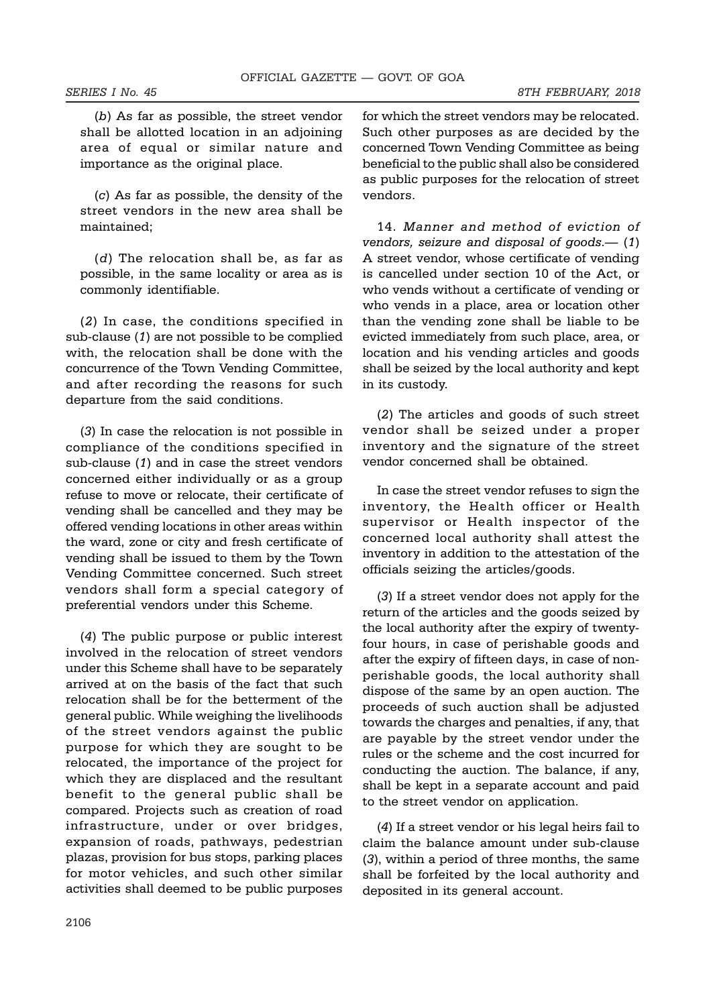(b) As far as possible, the street vendor shall be allotted location in an adjoining area of equal or similar nature and importance as the original place.

(c) As far as possible, the density of the street vendors in the new area shall be maintained;

(d) The relocation shall be, as far as possible, in the same locality or area as is commonly identifiable.

(2) In case, the conditions specified in sub-clause (1) are not possible to be complied with, the relocation shall be done with the concurrence of the Town Vending Committee, and after recording the reasons for such departure from the said conditions.

(3) In case the relocation is not possible in compliance of the conditions specified in sub-clause (1) and in case the street vendors concerned either individually or as a group refuse to move or relocate, their certificate of vending shall be cancelled and they may be offered vending locations in other areas within the ward, zone or city and fresh certificate of vending shall be issued to them by the Town Vending Committee concerned. Such street vendors shall form a special category of preferential vendors under this Scheme.

(4) The public purpose or public interest involved in the relocation of street vendors under this Scheme shall have to be separately arrived at on the basis of the fact that such relocation shall be for the betterment of the general public. While weighing the livelihoods of the street vendors against the public purpose for which they are sought to be relocated, the importance of the project for which they are displaced and the resultant benefit to the general public shall be compared. Projects such as creation of road infrastructure, under or over bridges, expansion of roads, pathways, pedestrian plazas, provision for bus stops, parking places for motor vehicles, and such other similar activities shall deemed to be public purposes for which the street vendors may be relocated. Such other purposes as are decided by the concerned Town Vending Committee as being beneficial to the public shall also be considered as public purposes for the relocation of street vendors.

14. Manner and method of eviction of vendors, seizure and disposal of goods.— (1) A street vendor, whose certificate of vending is cancelled under section 10 of the Act, or who vends without a certificate of vending or who vends in a place, area or location other than the vending zone shall be liable to be evicted immediately from such place, area, or location and his vending articles and goods shall be seized by the local authority and kept in its custody.

(2) The articles and goods of such street vendor shall be seized under a proper inventory and the signature of the street vendor concerned shall be obtained.

In case the street vendor refuses to sign the inventory, the Health officer or Health supervisor or Health inspector of the concerned local authority shall attest the inventory in addition to the attestation of the officials seizing the articles/goods.

(3) If a street vendor does not apply for the return of the articles and the goods seized by the local authority after the expiry of twentyfour hours, in case of perishable goods and after the expiry of fifteen days, in case of nonperishable goods, the local authority shall dispose of the same by an open auction. The proceeds of such auction shall be adjusted towards the charges and penalties, if any, that are payable by the street vendor under the rules or the scheme and the cost incurred for conducting the auction. The balance, if any, shall be kept in a separate account and paid to the street vendor on application.

(4) If a street vendor or his legal heirs fail to claim the balance amount under sub-clause (3), within a period of three months, the same shall be forfeited by the local authority and deposited in its general account.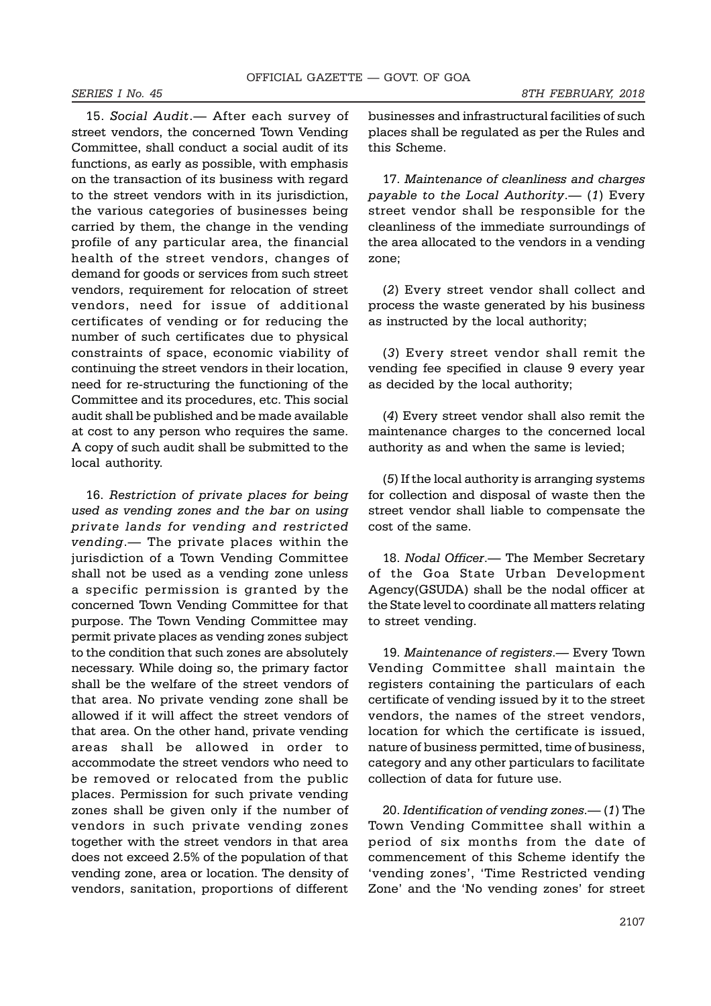15. Social Audit.— After each survey of street vendors, the concerned Town Vending Committee, shall conduct a social audit of its functions, as early as possible, with emphasis on the transaction of its business with regard to the street vendors with in its jurisdiction, the various categories of businesses being carried by them, the change in the vending profile of any particular area, the financial health of the street vendors, changes of demand for goods or services from such street vendors, requirement for relocation of street vendors, need for issue of additional certificates of vending or for reducing the number of such certificates due to physical constraints of space, economic viability of continuing the street vendors in their location, need for re-structuring the functioning of the Committee and its procedures, etc. This social audit shall be published and be made available at cost to any person who requires the same. A copy of such audit shall be submitted to the local authority.

16. Restriction of private places for being used as vending zones and the bar on using private lands for vending and restricted vending.— The private places within the jurisdiction of a Town Vending Committee shall not be used as a vending zone unless a specific permission is granted by the concerned Town Vending Committee for that purpose. The Town Vending Committee may permit private places as vending zones subject to the condition that such zones are absolutely necessary. While doing so, the primary factor shall be the welfare of the street vendors of that area. No private vending zone shall be allowed if it will affect the street vendors of that area. On the other hand, private vending areas shall be allowed in order to accommodate the street vendors who need to be removed or relocated from the public places. Permission for such private vending zones shall be given only if the number of vendors in such private vending zones together with the street vendors in that area does not exceed 2.5% of the population of that vending zone, area or location. The density of vendors, sanitation, proportions of different businesses and infrastructural facilities of such places shall be regulated as per the Rules and this Scheme.

17. Maintenance of cleanliness and charges payable to the Local Authority.— (1) Every street vendor shall be responsible for the cleanliness of the immediate surroundings of the area allocated to the vendors in a vending zone;

(2) Every street vendor shall collect and process the waste generated by his business as instructed by the local authority;

(3) Every street vendor shall remit the vending fee specified in clause 9 every year as decided by the local authority;

(4) Every street vendor shall also remit the maintenance charges to the concerned local authority as and when the same is levied;

(5) If the local authority is arranging systems for collection and disposal of waste then the street vendor shall liable to compensate the cost of the same.

18. Nodal Officer.— The Member Secretary of the Goa State Urban Development Agency(GSUDA) shall be the nodal officer at the State level to coordinate all matters relating to street vending.

19. Maintenance of registers.— Every Town Vending Committee shall maintain the registers containing the particulars of each certificate of vending issued by it to the street vendors, the names of the street vendors, location for which the certificate is issued, nature of business permitted, time of business, category and any other particulars to facilitate collection of data for future use.

20. Identification of vending zones.— (1) The Town Vending Committee shall within a period of six months from the date of commencement of this Scheme identify the 'vending zones', 'Time Restricted vending Zone' and the 'No vending zones' for street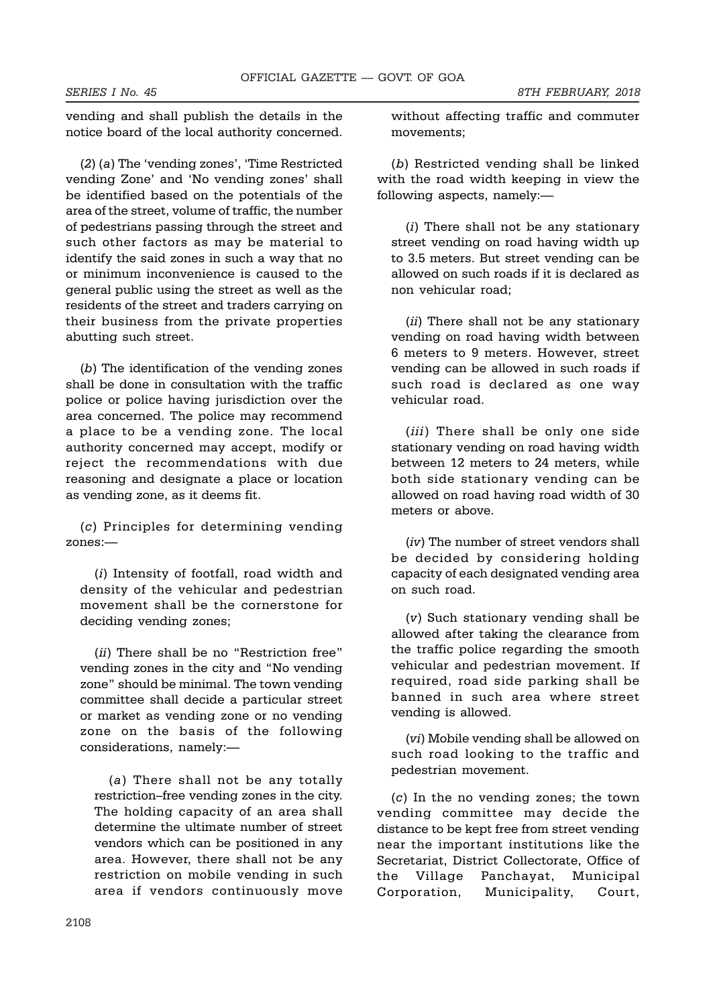SERIES I No. 45 8TH FEBRUARY, 2018

vending and shall publish the details in the notice board of the local authority concerned.

(2) (a) The 'vending zones', 'Time Restricted vending Zone' and 'No vending zones' shall be identified based on the potentials of the area of the street, volume of traffic, the number of pedestrians passing through the street and such other factors as may be material to identify the said zones in such a way that no or minimum inconvenience is caused to the general public using the street as well as the residents of the street and traders carrying on their business from the private properties abutting such street.

(b) The identification of the vending zones shall be done in consultation with the traffic police or police having jurisdiction over the area concerned. The police may recommend a place to be a vending zone. The local authority concerned may accept, modify or reject the recommendations with due reasoning and designate a place or location as vending zone, as it deems fit.

(c) Principles for determining vending zones:—

(i) Intensity of footfall, road width and density of the vehicular and pedestrian movement shall be the cornerstone for deciding vending zones;

(*ii*) There shall be no "Restriction free" vending zones in the city and "No vending zone" should be minimal. The town vending committee shall decide a particular street or market as vending zone or no vending zone on the basis of the following considerations, namely:—

(a) There shall not be any totally restriction–free vending zones in the city. The holding capacity of an area shall determine the ultimate number of street vendors which can be positioned in any area. However, there shall not be any restriction on mobile vending in such area if vendors continuously move without affecting traffic and commuter movements;

(b) Restricted vending shall be linked with the road width keeping in view the following aspects, namely:—

(i) There shall not be any stationary street vending on road having width up to 3.5 meters. But street vending can be allowed on such roads if it is declared as non vehicular road;

(*ii*) There shall not be any stationary vending on road having width between 6 meters to 9 meters. However, street vending can be allowed in such roads if such road is declared as one way vehicular road.

(iii) There shall be only one side stationary vending on road having width between 12 meters to 24 meters, while both side stationary vending can be allowed on road having road width of 30 meters or above.

(iv) The number of street vendors shall be decided by considering holding capacity of each designated vending area on such road.

(v) Such stationary vending shall be allowed after taking the clearance from the traffic police regarding the smooth vehicular and pedestrian movement. If required, road side parking shall be banned in such area where street vending is allowed.

(vi) Mobile vending shall be allowed on such road looking to the traffic and pedestrian movement.

(c) In the no vending zones; the town vending committee may decide the distance to be kept free from street vending near the important institutions like the Secretariat, District Collectorate, Office of the Village Panchayat, Municipal Corporation, Municipality, Court,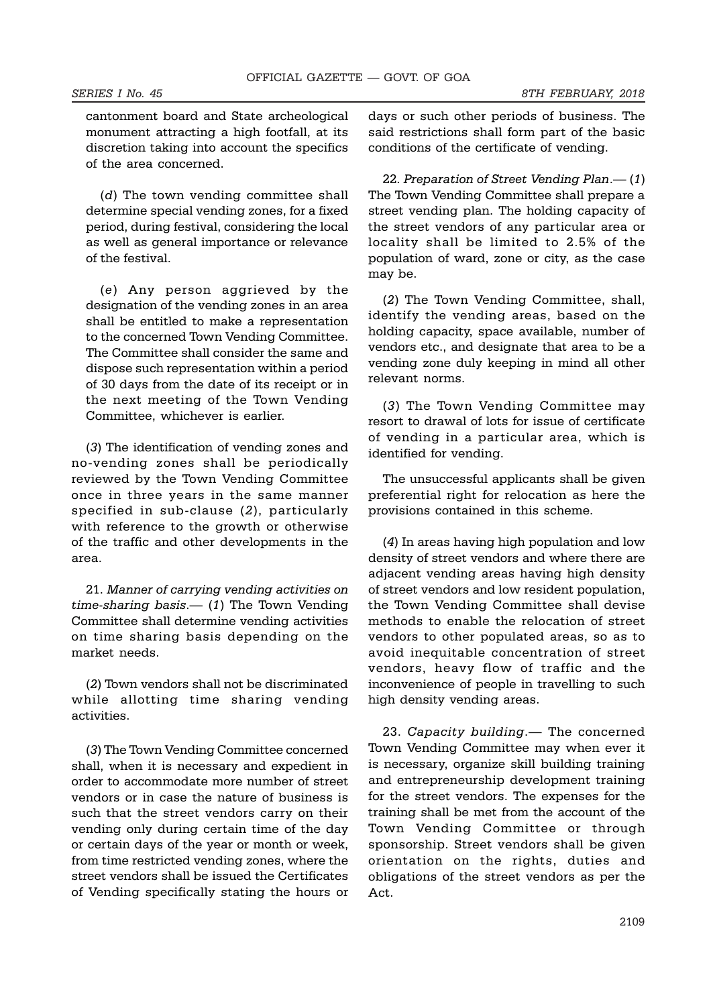cantonment board and State archeological monument attracting a high footfall, at its discretion taking into account the specifics of the area concerned.

(d) The town vending committee shall determine special vending zones, for a fixed period, during festival, considering the local as well as general importance or relevance of the festival.

(e) Any person aggrieved by the designation of the vending zones in an area shall be entitled to make a representation to the concerned Town Vending Committee. The Committee shall consider the same and dispose such representation within a period of 30 days from the date of its receipt or in the next meeting of the Town Vending Committee, whichever is earlier.

(3) The identification of vending zones and no-vending zones shall be periodically reviewed by the Town Vending Committee once in three years in the same manner specified in sub-clause (2), particularly with reference to the growth or otherwise of the traffic and other developments in the area.

21. Manner of carrying vending activities on time-sharing basis.— (1) The Town Vending Committee shall determine vending activities on time sharing basis depending on the market needs.

(2) Town vendors shall not be discriminated while allotting time sharing vending activities.

(3) The Town Vending Committee concerned shall, when it is necessary and expedient in order to accommodate more number of street vendors or in case the nature of business is such that the street vendors carry on their vending only during certain time of the day or certain days of the year or month or week, from time restricted vending zones, where the street vendors shall be issued the Certificates of Vending specifically stating the hours or days or such other periods of business. The said restrictions shall form part of the basic conditions of the certificate of vending.

22. Preparation of Street Vending Plan.— (1) The Town Vending Committee shall prepare a street vending plan. The holding capacity of the street vendors of any particular area or locality shall be limited to 2.5% of the population of ward, zone or city, as the case may be.

(2) The Town Vending Committee, shall, identify the vending areas, based on the holding capacity, space available, number of vendors etc., and designate that area to be a vending zone duly keeping in mind all other relevant norms.

(3) The Town Vending Committee may resort to drawal of lots for issue of certificate of vending in a particular area, which is identified for vending.

The unsuccessful applicants shall be given preferential right for relocation as here the provisions contained in this scheme.

(4) In areas having high population and low density of street vendors and where there are adjacent vending areas having high density of street vendors and low resident population, the Town Vending Committee shall devise methods to enable the relocation of street vendors to other populated areas, so as to avoid inequitable concentration of street vendors, heavy flow of traffic and the inconvenience of people in travelling to such high density vending areas.

23. Capacity building.— The concerned Town Vending Committee may when ever it is necessary, organize skill building training and entrepreneurship development training for the street vendors. The expenses for the training shall be met from the account of the Town Vending Committee or through sponsorship. Street vendors shall be given orientation on the rights, duties and obligations of the street vendors as per the Act.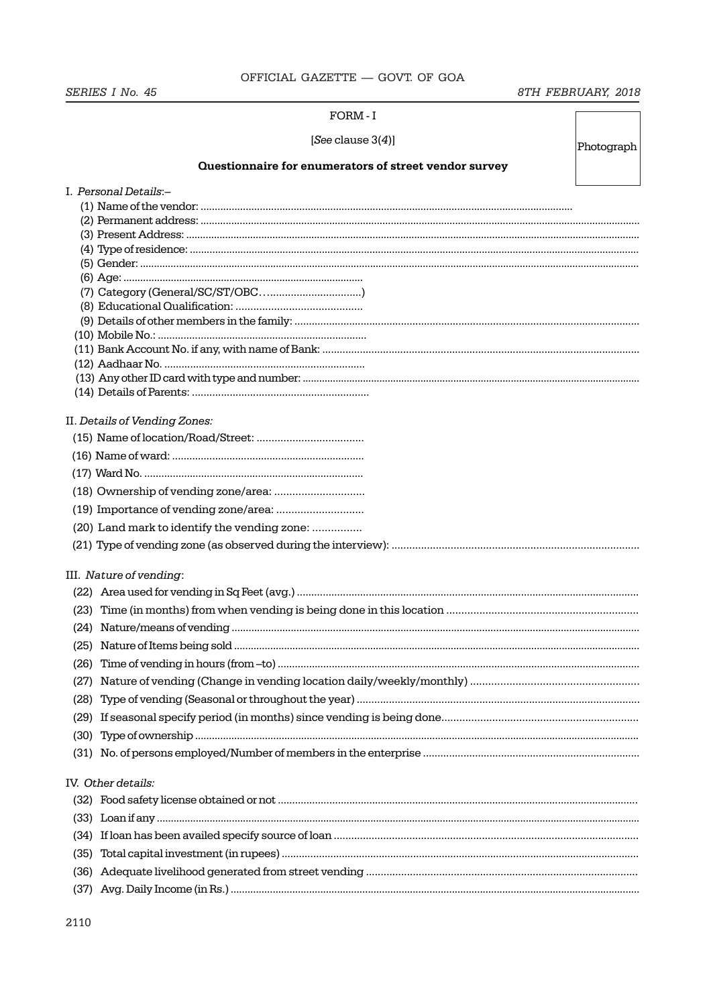OFFICIAL GAZETTE - GOVT. OF GOA

SERIES I No. 45

# 8TH FEBRUARY, 2018

|                                                      | FORM - I                                                                                                 |            |
|------------------------------------------------------|----------------------------------------------------------------------------------------------------------|------------|
|                                                      | [See clause $3(4)$ ]                                                                                     | Photograph |
|                                                      | Questionnaire for enumerators of street vendor survey                                                    |            |
|                                                      | I. Personal Details:-                                                                                    |            |
|                                                      |                                                                                                          |            |
|                                                      |                                                                                                          |            |
| (23)<br>(26)<br>(27)<br>(28)<br>(29)<br>(30)<br>(31) | II. Details of Vending Zones:<br>(20) Land mark to identify the vending zone:<br>III. Nature of vending: |            |
|                                                      |                                                                                                          |            |
| (33)<br>(34)<br>(35)<br>(36)                         | IV. Other details:                                                                                       |            |
| (37)                                                 |                                                                                                          |            |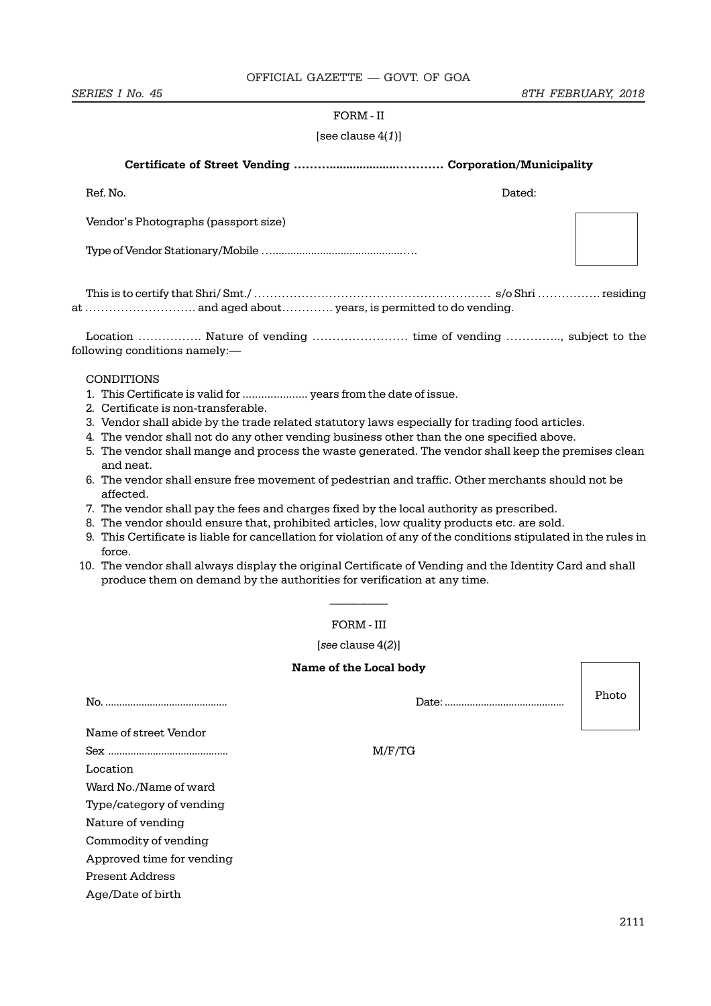## FORM - II

## [see clause  $4(1)$ ]

## Certificate of Street Vending ………....................………… Corporation/Municipality

| Ref. No.                             | Dated: |
|--------------------------------------|--------|
| Vendor's Photographs (passport size) |        |
|                                      |        |
|                                      |        |

This is to certify that Shri/ Smt./ …………………………………………………… s/o Shri ……………. residing at ………………………. and aged about…………. years, is permitted to do vending.

Location ……………. Nature of vending …………………… time of vending ………….., subject to the following conditions namely:—

# CONDITIONS

- 1. This Certificate is valid for ..................... years from the date of issue.
- 2. Certificate is non-transferable.
- 3. Vendor shall abide by the trade related statutory laws especially for trading food articles.
- 4. The vendor shall not do any other vending business other than the one specified above.
- 5. The vendor shall mange and process the waste generated. The vendor shall keep the premises clean and neat.
- 6. The vendor shall ensure free movement of pedestrian and traffic. Other merchants should not be affected.
- 7. The vendor shall pay the fees and charges fixed by the local authority as prescribed.
- 8. The vendor should ensure that, prohibited articles, low quality products etc. are sold.
- 9. This Certificate is liable for cancellation for violation of any of the conditions stipulated in the rules in force.
- 10. The vendor shall always display the original Certificate of Vending and the Identity Card and shall produce them on demand by the authorities for verification at any time.

# ————— FORM - III

#### [see clause 4(2)]

#### Name of the Local body

|                           | Date: . | Photo |
|---------------------------|---------|-------|
| Name of street Vendor     |         |       |
|                           | M/F/TG  |       |
| Location                  |         |       |
| Ward No./Name of ward     |         |       |
| Type/category of vending  |         |       |
| Nature of vending         |         |       |
| Commodity of vending      |         |       |
| Approved time for vending |         |       |
| <b>Present Address</b>    |         |       |
| Age/Date of birth         |         |       |